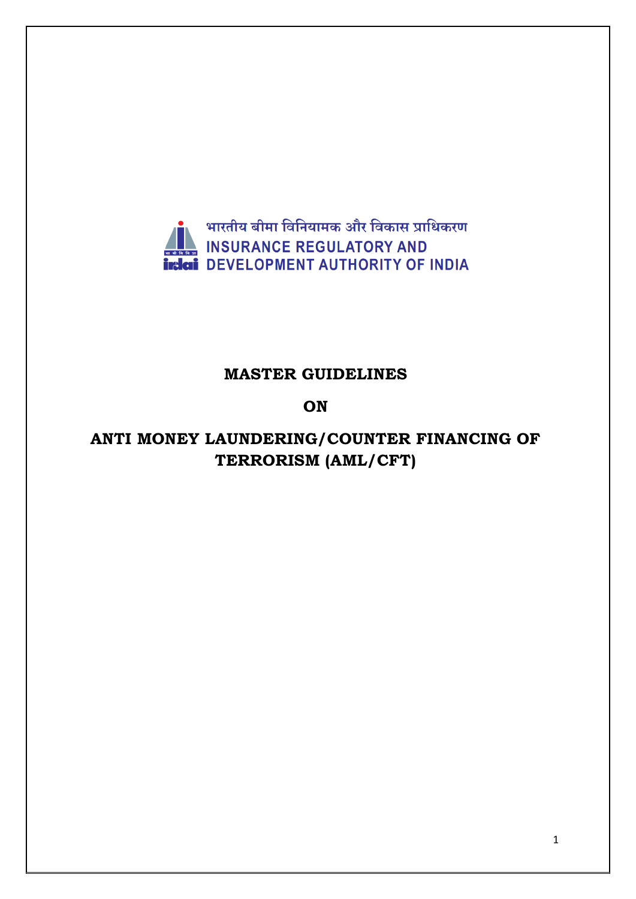

## **MASTER GUIDELINES**

### **ON**

# **ANTI MONEY LAUNDERING/COUNTER FINANCING OF TERRORISM (AML/CFT)**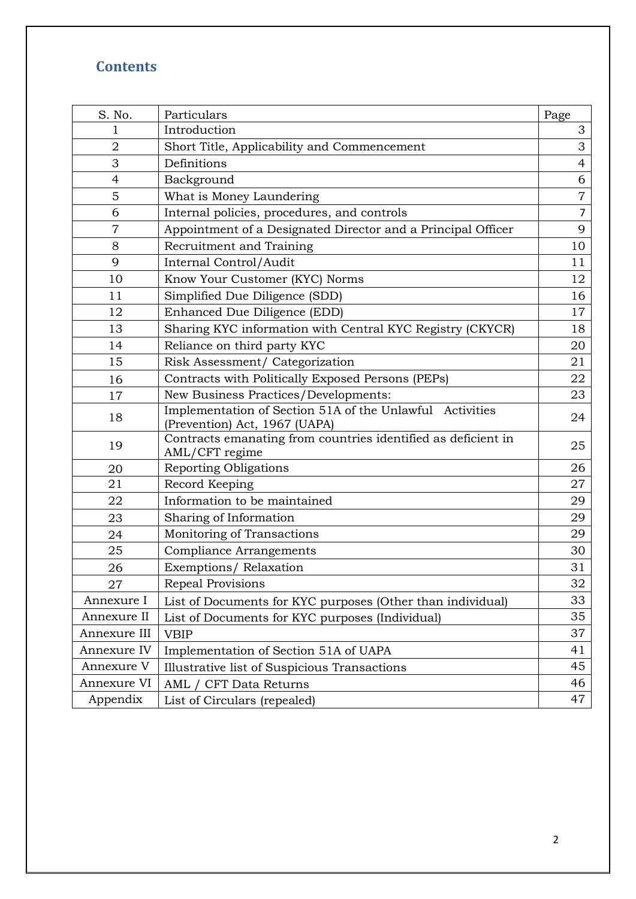# **Contents**

| S. No.         | Particulars                                                                               | Page           |
|----------------|-------------------------------------------------------------------------------------------|----------------|
| 1              | Introduction                                                                              |                |
| $\overline{2}$ | Short Title, Applicability and Commencement                                               |                |
| 3              | Definitions                                                                               |                |
| $\overline{4}$ | Background                                                                                | 6              |
| 5              | What is Money Laundering                                                                  | $\overline{7}$ |
| 6              | Internal policies, procedures, and controls                                               | $\overline{7}$ |
| $\overline{7}$ | Appointment of a Designated Director and a Principal Officer                              | 9              |
| 8              | Recruitment and Training                                                                  | 10             |
| 9              | Internal Control/Audit                                                                    | 11             |
| 10             | Know Your Customer (KYC) Norms                                                            | 12             |
| 11             | Simplified Due Diligence (SDD)                                                            | 16             |
| 12             | Enhanced Due Diligence (EDD)                                                              | 17             |
| 13             | Sharing KYC information with Central KYC Registry (CKYCR)                                 | 18             |
| 14             | Reliance on third party KYC                                                               | 20             |
| 15             | Risk Assessment/ Categorization                                                           | 21             |
| 16             | Contracts with Politically Exposed Persons (PEPs)                                         |                |
| 17             | New Business Practices/Developments:                                                      |                |
| 18             | Implementation of Section 51A of the Unlawful Activities<br>(Prevention) Act, 1967 (UAPA) | 24             |
| 19             | Contracts emanating from countries identified as deficient in<br>AML/CFT regime           | 25             |
| 20             | <b>Reporting Obligations</b>                                                              | 26             |
| 21             | Record Keeping                                                                            | 27             |
| 22             | Information to be maintained                                                              | 29             |
| 23             | Sharing of Information                                                                    | 29             |
| 24             | Monitoring of Transactions                                                                | 29             |
| 25             | <b>Compliance Arrangements</b>                                                            | 30             |
| 26             | Exemptions/Relaxation                                                                     | 31             |
| 27             | Repeal Provisions                                                                         | 32             |
| Annexure I     | List of Documents for KYC purposes (Other than individual)                                | 33             |
| Annexure II    | List of Documents for KYC purposes (Individual)                                           | 35             |
| Annexure III   | <b>VBIP</b>                                                                               | 37             |
| Annexure IV    | Implementation of Section 51A of UAPA                                                     |                |
| Annexure V     | Illustrative list of Suspicious Transactions                                              | 45             |
| Annexure VI    | AML / CFT Data Returns                                                                    | 46             |
| Appendix       | List of Circulars (repealed)                                                              | 47             |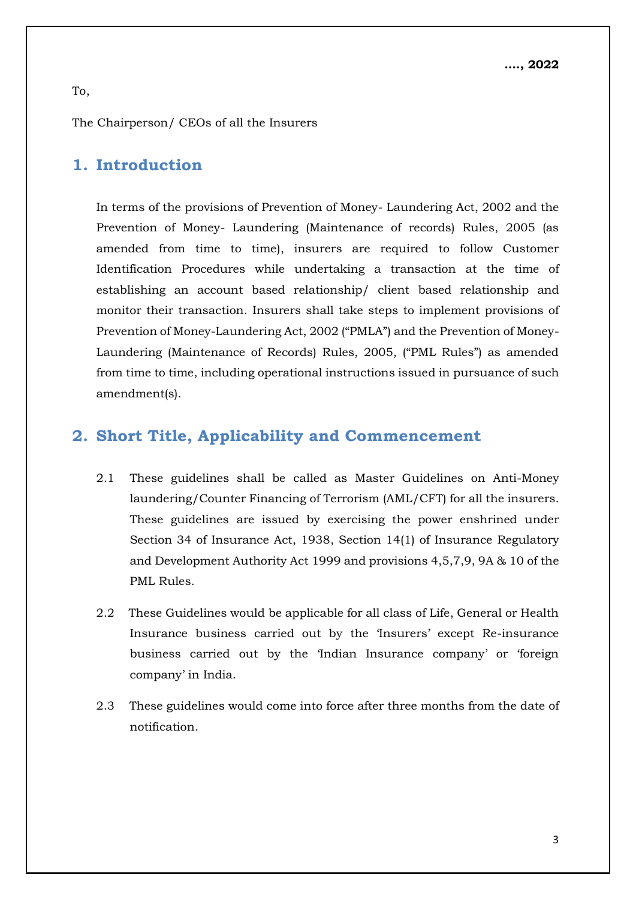The Chairperson/ CEOs of all the Insurers

## **1. Introduction**

In terms of the provisions of Prevention of Money- Laundering Act, 2002 and the Prevention of Money- Laundering (Maintenance of records) Rules, 2005 (as amended from time to time), insurers are required to follow Customer Identification Procedures while undertaking a transaction at the time of establishing an account based relationship/ client based relationship and monitor their transaction. Insurers shall take steps to implement provisions of Prevention of Money-Laundering Act, 2002 ("PMLA") and the Prevention of Money-Laundering (Maintenance of Records) Rules, 2005, ("PML Rules") as amended from time to time, including operational instructions issued in pursuance of such amendment(s).

## **2. Short Title, Applicability and Commencement**

- 2.1 These guidelines shall be called as Master Guidelines on Anti-Money laundering/Counter Financing of Terrorism (AML/CFT) for all the insurers. These guidelines are issued by exercising the power enshrined under Section 34 of Insurance Act, 1938, Section 14(1) of Insurance Regulatory and Development Authority Act 1999 and provisions 4,5,7,9, 9A & 10 of the PML Rules.
- 2.2 These Guidelines would be applicable for all class of Life, General or Health Insurance business carried out by the 'Insurers' except Re-insurance business carried out by the 'Indian Insurance company' or 'foreign company' in India.
- 2.3 These guidelines would come into force after three months from the date of notification.

To,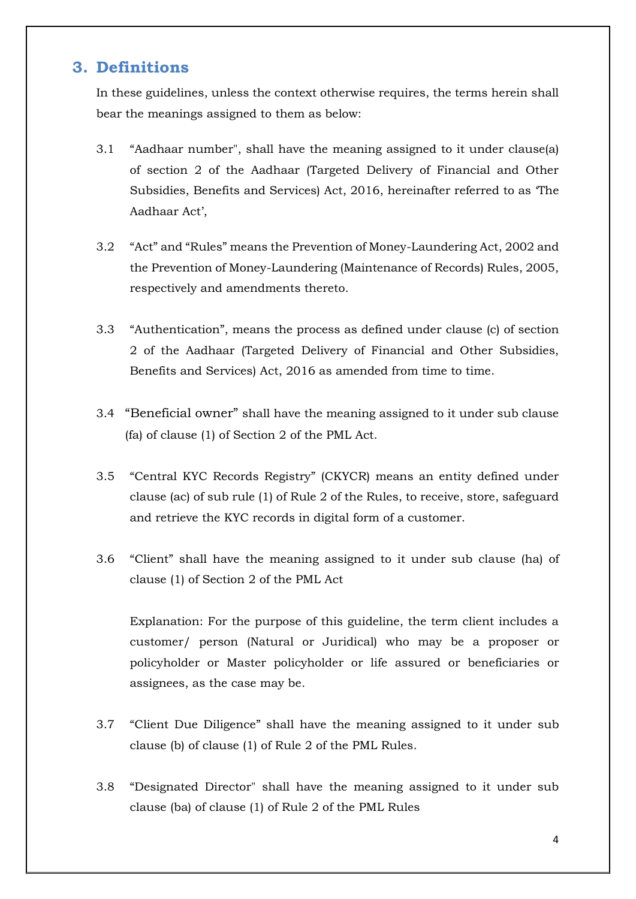#### **3. Definitions**

In these guidelines, unless the context otherwise requires, the terms herein shall bear the meanings assigned to them as below:

- 3.1 "Aadhaar number", shall have the meaning assigned to it under clause(a) of section 2 of the Aadhaar (Targeted Delivery of Financial and Other Subsidies, Benefits and Services) Act, 2016, hereinafter referred to as 'The Aadhaar Act',
- 3.2 "Act" and "Rules" means the Prevention of Money-Laundering Act, 2002 and the Prevention of Money-Laundering (Maintenance of Records) Rules, 2005, respectively and amendments thereto.
- 3.3 "Authentication", means the process as defined under clause (c) of section 2 of the Aadhaar (Targeted Delivery of Financial and Other Subsidies, Benefits and Services) Act, 2016 as amended from time to time.
- 3.4 "Beneficial owner" shall have the meaning assigned to it under sub clause (fa) of clause (1) of Section 2 of the PML Act.
- 3.5 "Central KYC Records Registry" (CKYCR) means an entity defined under clause (ac) of sub rule (1) of Rule 2 of the Rules, to receive, store, safeguard and retrieve the KYC records in digital form of a customer.
- 3.6 "Client" shall have the meaning assigned to it under sub clause (ha) of clause (1) of Section 2 of the PML Act

Explanation: For the purpose of this guideline, the term client includes a customer/ person (Natural or Juridical) who may be a proposer or policyholder or Master policyholder or life assured or beneficiaries or assignees, as the case may be.

- 3.7 "Client Due Diligence" shall have the meaning assigned to it under sub clause (b) of clause (1) of Rule 2 of the PML Rules.
- 3.8 "Designated Director" shall have the meaning assigned to it under sub clause (ba) of clause (1) of Rule 2 of the PML Rules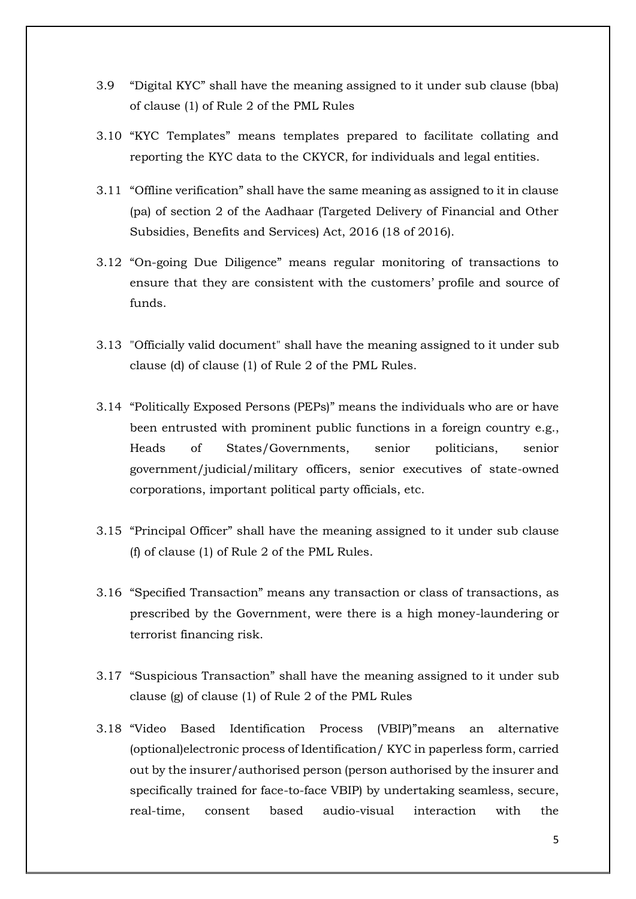- 3.9 "Digital KYC" shall have the meaning assigned to it under sub clause (bba) of clause (1) of Rule 2 of the PML Rules
- 3.10 "KYC Templates" means templates prepared to facilitate collating and reporting the KYC data to the CKYCR, for individuals and legal entities.
- 3.11 "Offline verification" shall have the same meaning as assigned to it in clause (pa) of section 2 of the Aadhaar (Targeted Delivery of Financial and Other Subsidies, Benefits and Services) Act, 2016 (18 of 2016).
- 3.12 "On-going Due Diligence" means regular monitoring of transactions to ensure that they are consistent with the customers' profile and source of funds.
- 3.13 "Officially valid document" shall have the meaning assigned to it under sub clause (d) of clause (1) of Rule 2 of the PML Rules.
- 3.14 "Politically Exposed Persons (PEPs)" means the individuals who are or have been entrusted with prominent public functions in a foreign country e.g., Heads of States/Governments, senior politicians, senior government/judicial/military officers, senior executives of state-owned corporations, important political party officials, etc.
- 3.15 "Principal Officer" shall have the meaning assigned to it under sub clause (f) of clause (1) of Rule 2 of the PML Rules.
- 3.16 "Specified Transaction" means any transaction or class of transactions, as prescribed by the Government, were there is a high money-laundering or terrorist financing risk.
- 3.17 "Suspicious Transaction" shall have the meaning assigned to it under sub clause (g) of clause (1) of Rule 2 of the PML Rules
- 3.18 "Video Based Identification Process (VBIP)"means an alternative (optional)electronic process of Identification/ KYC in paperless form, carried out by the insurer/authorised person (person authorised by the insurer and specifically trained for face-to-face VBIP) by undertaking seamless, secure, real-time, consent based audio-visual interaction with the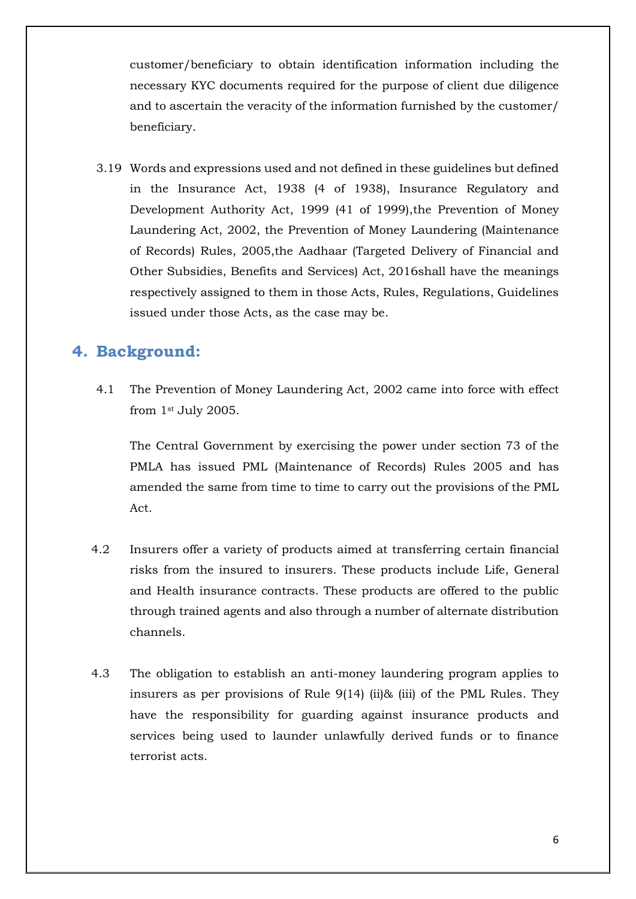customer/beneficiary to obtain identification information including the necessary KYC documents required for the purpose of client due diligence and to ascertain the veracity of the information furnished by the customer/ beneficiary.

3.19 Words and expressions used and not defined in these guidelines but defined in the Insurance Act, 1938 (4 of 1938), Insurance Regulatory and Development Authority Act, 1999 (41 of 1999), the Prevention of Money Laundering Act, 2002, the Prevention of Money Laundering (Maintenance of Records) Rules, 2005,the Aadhaar (Targeted Delivery of Financial and Other Subsidies, Benefits and Services) Act, 2016shall have the meanings respectively assigned to them in those Acts, Rules, Regulations, Guidelines issued under those Acts, as the case may be.

## **4. Background:**

4.1 The Prevention of Money Laundering Act, 2002 came into force with effect from 1st July 2005.

The Central Government by exercising the power under section 73 of the PMLA has issued PML (Maintenance of Records) Rules 2005 and has amended the same from time to time to carry out the provisions of the PML Act.

- 4.2 Insurers offer a variety of products aimed at transferring certain financial risks from the insured to insurers. These products include Life, General and Health insurance contracts. These products are offered to the public through trained agents and also through a number of alternate distribution channels.
- 4.3 The obligation to establish an anti-money laundering program applies to insurers as per provisions of Rule 9(14) (ii)& (iii) of the PML Rules. They have the responsibility for guarding against insurance products and services being used to launder unlawfully derived funds or to finance terrorist acts.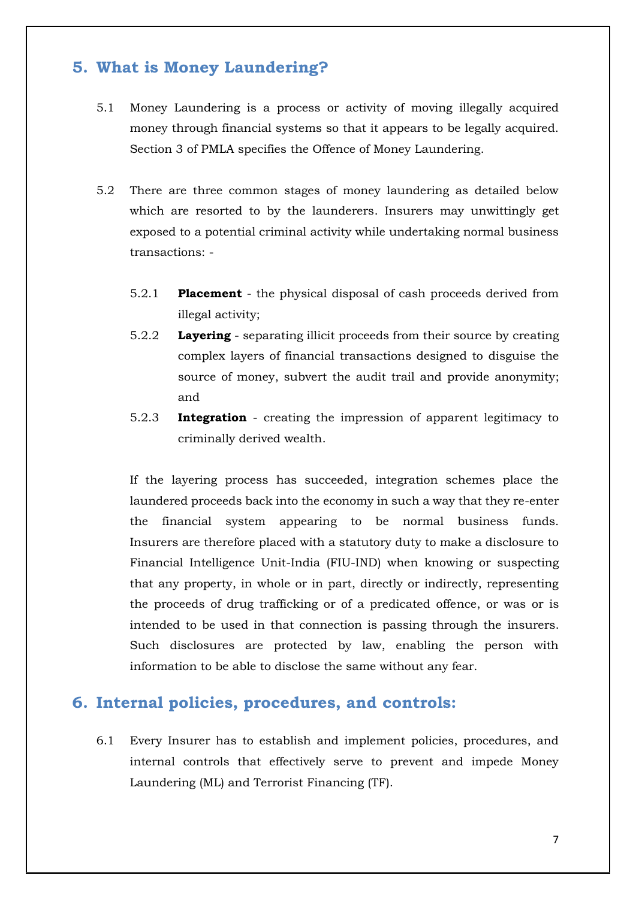## **5. What is Money Laundering?**

- 5.1 Money Laundering is a process or activity of moving illegally acquired money through financial systems so that it appears to be legally acquired. Section 3 of PMLA specifies the Offence of Money Laundering.
- 5.2 There are three common stages of money laundering as detailed below which are resorted to by the launderers. Insurers may unwittingly get exposed to a potential criminal activity while undertaking normal business transactions: -
	- 5.2.1 **Placement** the physical disposal of cash proceeds derived from illegal activity;
	- 5.2.2 **Layering** separating illicit proceeds from their source by creating complex layers of financial transactions designed to disguise the source of money, subvert the audit trail and provide anonymity; and
	- 5.2.3 **Integration** creating the impression of apparent legitimacy to criminally derived wealth.

If the layering process has succeeded, integration schemes place the laundered proceeds back into the economy in such a way that they re-enter the financial system appearing to be normal business funds. Insurers are therefore placed with a statutory duty to make a disclosure to Financial Intelligence Unit-India (FIU-IND) when knowing or suspecting that any property, in whole or in part, directly or indirectly, representing the proceeds of drug trafficking or of a predicated offence, or was or is intended to be used in that connection is passing through the insurers. Such disclosures are protected by law, enabling the person with information to be able to disclose the same without any fear.

## **6. Internal policies, procedures, and controls:**

6.1 Every Insurer has to establish and implement policies, procedures, and internal controls that effectively serve to prevent and impede Money Laundering (ML) and Terrorist Financing (TF).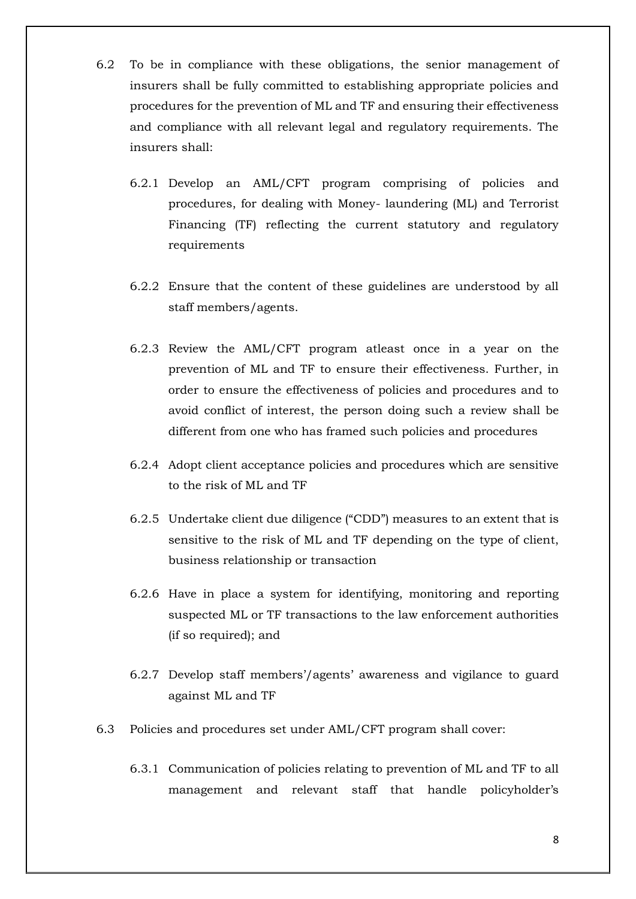- 6.2 To be in compliance with these obligations, the senior management of insurers shall be fully committed to establishing appropriate policies and procedures for the prevention of ML and TF and ensuring their effectiveness and compliance with all relevant legal and regulatory requirements. The insurers shall:
	- 6.2.1 Develop an AML/CFT program comprising of policies and procedures, for dealing with Money- laundering (ML) and Terrorist Financing (TF) reflecting the current statutory and regulatory requirements
	- 6.2.2 Ensure that the content of these guidelines are understood by all staff members/agents.
	- 6.2.3 Review the AML/CFT program atleast once in a year on the prevention of ML and TF to ensure their effectiveness. Further, in order to ensure the effectiveness of policies and procedures and to avoid conflict of interest, the person doing such a review shall be different from one who has framed such policies and procedures
	- 6.2.4 Adopt client acceptance policies and procedures which are sensitive to the risk of ML and TF
	- 6.2.5 Undertake client due diligence ("CDD") measures to an extent that is sensitive to the risk of ML and TF depending on the type of client, business relationship or transaction
	- 6.2.6 Have in place a system for identifying, monitoring and reporting suspected ML or TF transactions to the law enforcement authorities (if so required); and
	- 6.2.7 Develop staff members'/agents' awareness and vigilance to guard against ML and TF
- 6.3 Policies and procedures set under AML/CFT program shall cover:
	- 6.3.1 Communication of policies relating to prevention of ML and TF to all management and relevant staff that handle policyholder's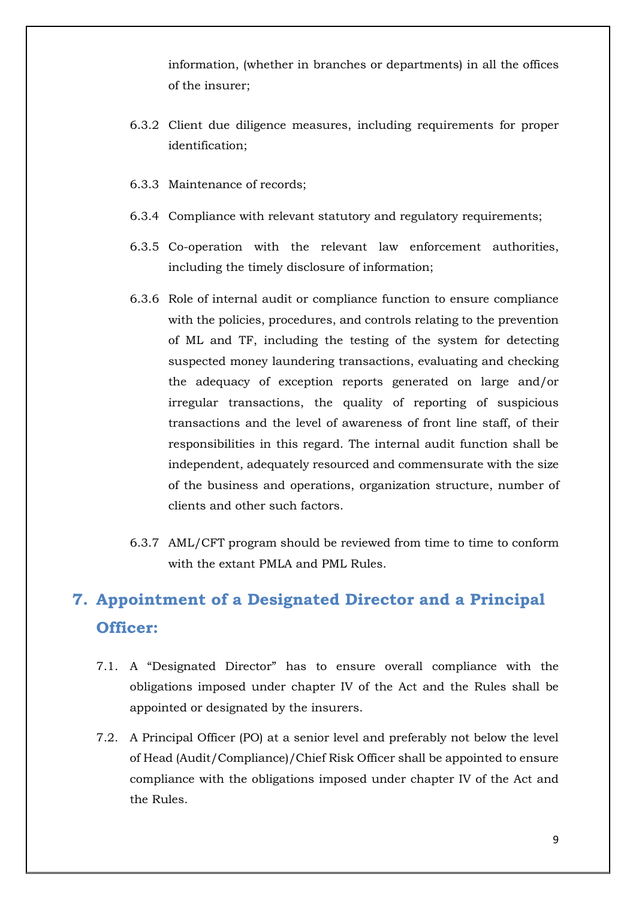information, (whether in branches or departments) in all the offices of the insurer;

- 6.3.2 Client due diligence measures, including requirements for proper identification;
- 6.3.3 Maintenance of records;
- 6.3.4 Compliance with relevant statutory and regulatory requirements;
- 6.3.5 Co-operation with the relevant law enforcement authorities, including the timely disclosure of information;
- 6.3.6 Role of internal audit or compliance function to ensure compliance with the policies, procedures, and controls relating to the prevention of ML and TF, including the testing of the system for detecting suspected money laundering transactions, evaluating and checking the adequacy of exception reports generated on large and/or irregular transactions, the quality of reporting of suspicious transactions and the level of awareness of front line staff, of their responsibilities in this regard. The internal audit function shall be independent, adequately resourced and commensurate with the size of the business and operations, organization structure, number of clients and other such factors.
- 6.3.7 AML/CFT program should be reviewed from time to time to conform with the extant PMLA and PML Rules.

# **7. Appointment of a Designated Director and a Principal Officer:**

- 7.1. A "Designated Director" has to ensure overall compliance with the obligations imposed under chapter IV of the Act and the Rules shall be appointed or designated by the insurers.
- 7.2. A Principal Officer (PO) at a senior level and preferably not below the level of Head (Audit/Compliance)/Chief Risk Officer shall be appointed to ensure compliance with the obligations imposed under chapter IV of the Act and the Rules.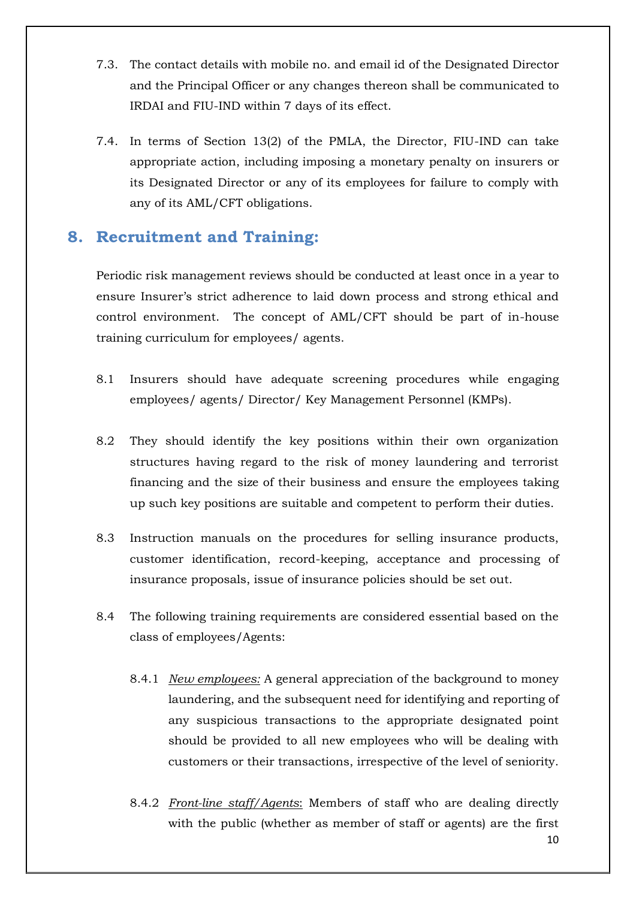- 7.3. The contact details with mobile no. and email id of the Designated Director and the Principal Officer or any changes thereon shall be communicated to IRDAI and FIU-IND within 7 days of its effect.
- 7.4. In terms of Section 13(2) of the PMLA, the Director, FIU-IND can take appropriate action, including imposing a monetary penalty on insurers or its Designated Director or any of its employees for failure to comply with any of its AML/CFT obligations.

### **8. Recruitment and Training:**

Periodic risk management reviews should be conducted at least once in a year to ensure Insurer's strict adherence to laid down process and strong ethical and control environment. The concept of AML/CFT should be part of in-house training curriculum for employees/ agents.

- 8.1 Insurers should have adequate screening procedures while engaging employees/ agents/ Director/ Key Management Personnel (KMPs).
- 8.2 They should identify the key positions within their own organization structures having regard to the risk of money laundering and terrorist financing and the size of their business and ensure the employees taking up such key positions are suitable and competent to perform their duties.
- 8.3 Instruction manuals on the procedures for selling insurance products, customer identification, record-keeping, acceptance and processing of insurance proposals, issue of insurance policies should be set out.
- 8.4 The following training requirements are considered essential based on the class of employees/Agents:
	- 8.4.1 *New employees:* A general appreciation of the background to money laundering, and the subsequent need for identifying and reporting of any suspicious transactions to the appropriate designated point should be provided to all new employees who will be dealing with customers or their transactions, irrespective of the level of seniority.
	- 8.4.2 *Front-line staff/Agents*: Members of staff who are dealing directly with the public (whether as member of staff or agents) are the first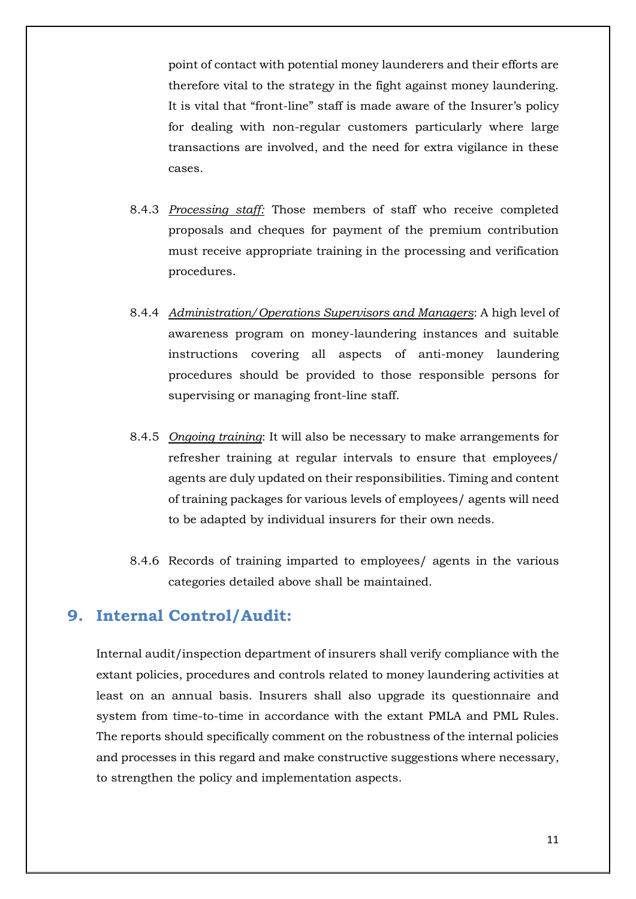point of contact with potential money launderers and their efforts are therefore vital to the strategy in the fight against money laundering. It is vital that "front-line" staff is made aware of the Insurer's policy for dealing with non-regular customers particularly where large transactions are involved, and the need for extra vigilance in these cases.

- 8.4.3 *Processing staff:* Those members of staff who receive completed proposals and cheques for payment of the premium contribution must receive appropriate training in the processing and verification procedures.
- 8.4.4 *Administration/Operations Supervisors and Managers*: A high level of awareness program on money-laundering instances and suitable instructions covering all aspects of anti-money laundering procedures should be provided to those responsible persons for supervising or managing front-line staff.
- 8.4.5 *Ongoing training*: It will also be necessary to make arrangements for refresher training at regular intervals to ensure that employees/ agents are duly updated on their responsibilities. Timing and content of training packages for various levels of employees/ agents will need to be adapted by individual insurers for their own needs.
- 8.4.6 Records of training imparted to employees/ agents in the various categories detailed above shall be maintained.

#### **9. Internal Control/Audit:**

Internal audit/inspection department of insurers shall verify compliance with the extant policies, procedures and controls related to money laundering activities at least on an annual basis. Insurers shall also upgrade its questionnaire and system from time-to-time in accordance with the extant PMLA and PML Rules. The reports should specifically comment on the robustness of the internal policies and processes in this regard and make constructive suggestions where necessary, to strengthen the policy and implementation aspects.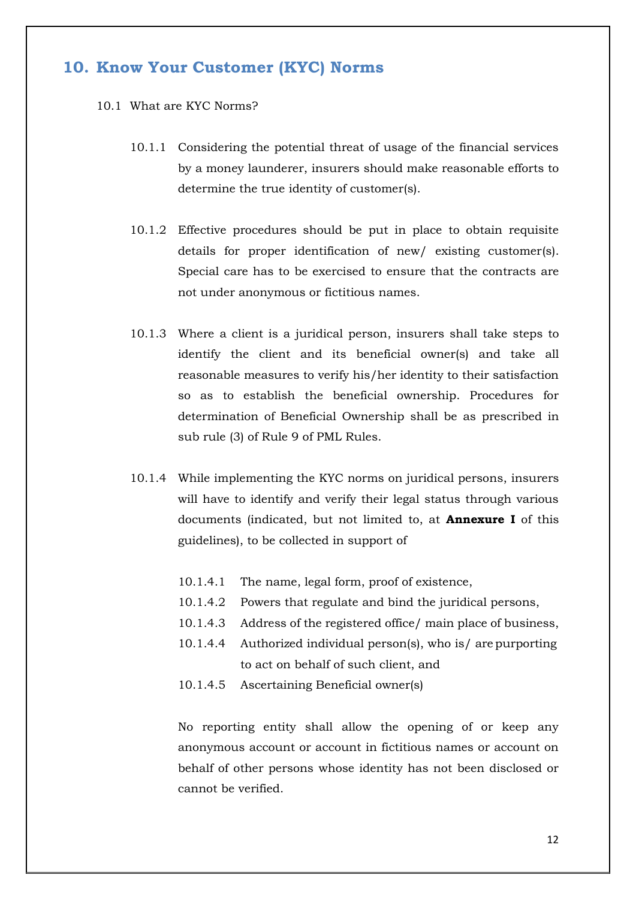#### **10. Know Your Customer (KYC) Norms**

- 10.1 What are KYC Norms?
	- 10.1.1 Considering the potential threat of usage of the financial services by a money launderer, insurers should make reasonable efforts to determine the true identity of customer(s).
	- 10.1.2 Effective procedures should be put in place to obtain requisite details for proper identification of new/ existing customer(s). Special care has to be exercised to ensure that the contracts are not under anonymous or fictitious names.
	- 10.1.3 Where a client is a juridical person, insurers shall take steps to identify the client and its beneficial owner(s) and take all reasonable measures to verify his/her identity to their satisfaction so as to establish the beneficial ownership. Procedures for determination of Beneficial Ownership shall be as prescribed in sub rule (3) of Rule 9 of PML Rules.
	- 10.1.4 While implementing the KYC norms on juridical persons, insurers will have to identify and verify their legal status through various documents (indicated, but not limited to, at **Annexure I** of this guidelines), to be collected in support of
		- 10.1.4.1 The name, legal form, proof of existence,
		- 10.1.4.2 Powers that regulate and bind the juridical persons,
		- 10.1.4.3 Address of the registered office/ main place of business,
		- 10.1.4.4 Authorized individual person(s), who is/ are purporting to act on behalf of such client, and
		- 10.1.4.5 Ascertaining Beneficial owner(s)

No reporting entity shall allow the opening of or keep any anonymous account or account in fictitious names or account on behalf of other persons whose identity has not been disclosed or cannot be verified.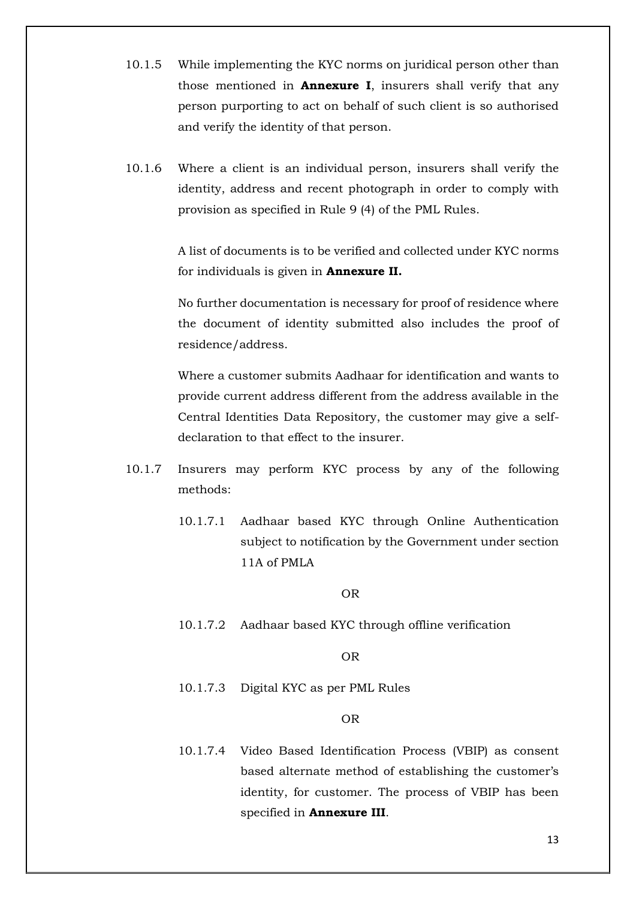- 10.1.5 While implementing the KYC norms on juridical person other than those mentioned in **Annexure I**, insurers shall verify that any person purporting to act on behalf of such client is so authorised and verify the identity of that person.
- 10.1.6 Where a client is an individual person, insurers shall verify the identity, address and recent photograph in order to comply with provision as specified in Rule 9 (4) of the PML Rules.

A list of documents is to be verified and collected under KYC norms for individuals is given in **Annexure II.** 

No further documentation is necessary for proof of residence where the document of identity submitted also includes the proof of residence/address.

Where a customer submits Aadhaar for identification and wants to provide current address different from the address available in the Central Identities Data Repository, the customer may give a selfdeclaration to that effect to the insurer.

- 10.1.7 Insurers may perform KYC process by any of the following methods:
	- 10.1.7.1 Aadhaar based KYC through Online Authentication subject to notification by the Government under section 11A of PMLA

OR

10.1.7.2 Aadhaar based KYC through offline verification

OR

10.1.7.3 Digital KYC as per PML Rules

OR

10.1.7.4 Video Based Identification Process (VBIP) as consent based alternate method of establishing the customer's identity, for customer. The process of VBIP has been specified in **Annexure III**.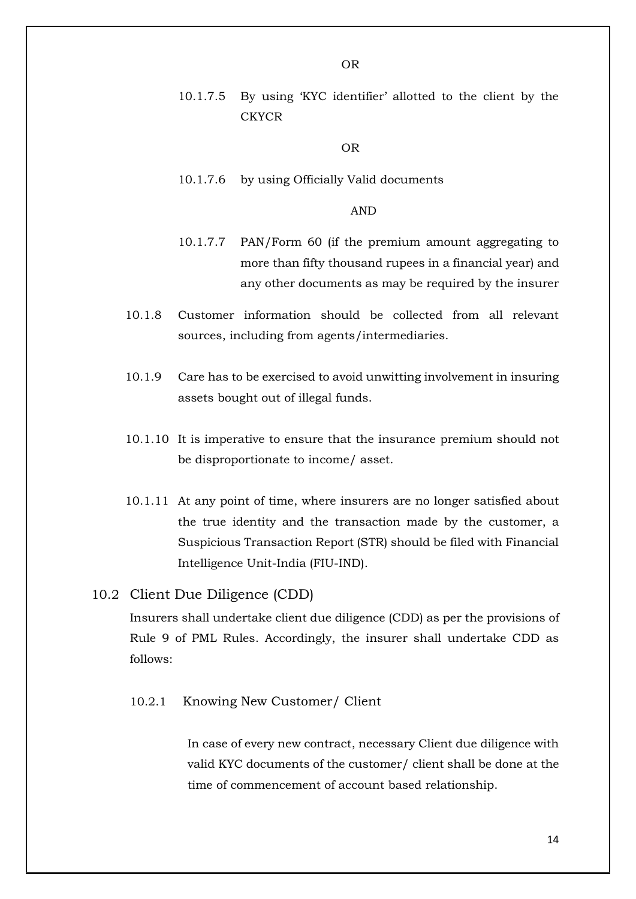- OR
- 10.1.7.5 By using 'KYC identifier' allotted to the client by the **CKYCR**

OR

10.1.7.6 by using Officially Valid documents

AND

- 10.1.7.7 PAN/Form 60 (if the premium amount aggregating to more than fifty thousand rupees in a financial year) and any other documents as may be required by the insurer
- 10.1.8 Customer information should be collected from all relevant sources, including from agents/intermediaries.
- 10.1.9 Care has to be exercised to avoid unwitting involvement in insuring assets bought out of illegal funds.
- 10.1.10 It is imperative to ensure that the insurance premium should not be disproportionate to income/ asset.
- 10.1.11 At any point of time, where insurers are no longer satisfied about the true identity and the transaction made by the customer, a Suspicious Transaction Report (STR) should be filed with Financial Intelligence Unit-India (FIU-IND).

#### 10.2 Client Due Diligence (CDD)

Insurers shall undertake client due diligence (CDD) as per the provisions of Rule 9 of PML Rules. Accordingly, the insurer shall undertake CDD as follows:

#### 10.2.1 Knowing New Customer/ Client

In case of every new contract, necessary Client due diligence with valid KYC documents of the customer/ client shall be done at the time of commencement of account based relationship.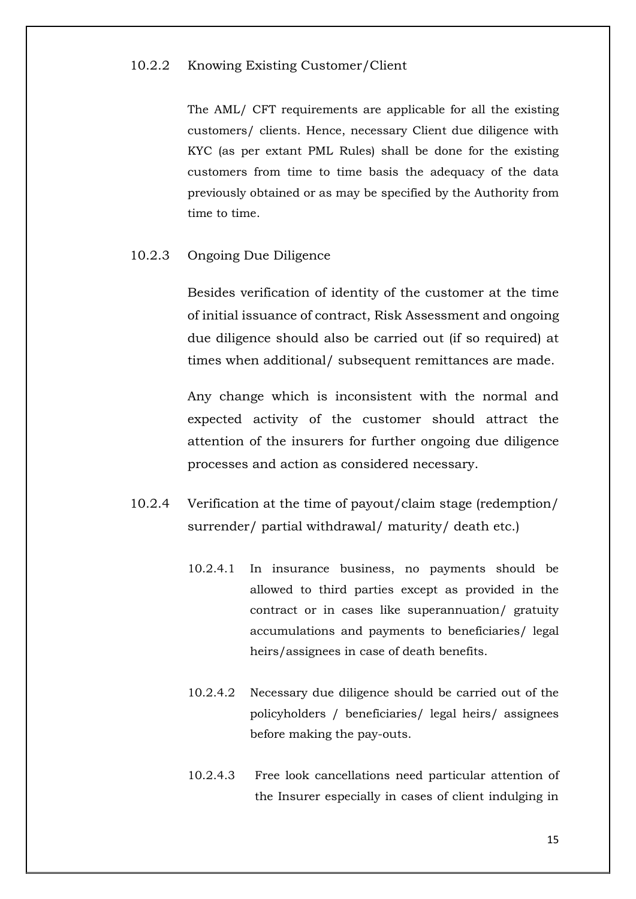#### 10.2.2 Knowing Existing Customer/Client

The AML/ CFT requirements are applicable for all the existing customers/ clients. Hence, necessary Client due diligence with KYC (as per extant PML Rules) shall be done for the existing customers from time to time basis the adequacy of the data previously obtained or as may be specified by the Authority from time to time.

10.2.3 Ongoing Due Diligence

Besides verification of identity of the customer at the time of initial issuance of contract, Risk Assessment and ongoing due diligence should also be carried out (if so required) at times when additional/ subsequent remittances are made.

Any change which is inconsistent with the normal and expected activity of the customer should attract the attention of the insurers for further ongoing due diligence processes and action as considered necessary.

- 10.2.4 Verification at the time of payout/claim stage (redemption/ surrender/ partial withdrawal/ maturity/ death etc.)
	- 10.2.4.1 In insurance business, no payments should be allowed to third parties except as provided in the contract or in cases like superannuation/ gratuity accumulations and payments to beneficiaries/ legal heirs/assignees in case of death benefits.
	- 10.2.4.2 Necessary due diligence should be carried out of the policyholders / beneficiaries/ legal heirs/ assignees before making the pay-outs.
	- 10.2.4.3 Free look cancellations need particular attention of the Insurer especially in cases of client indulging in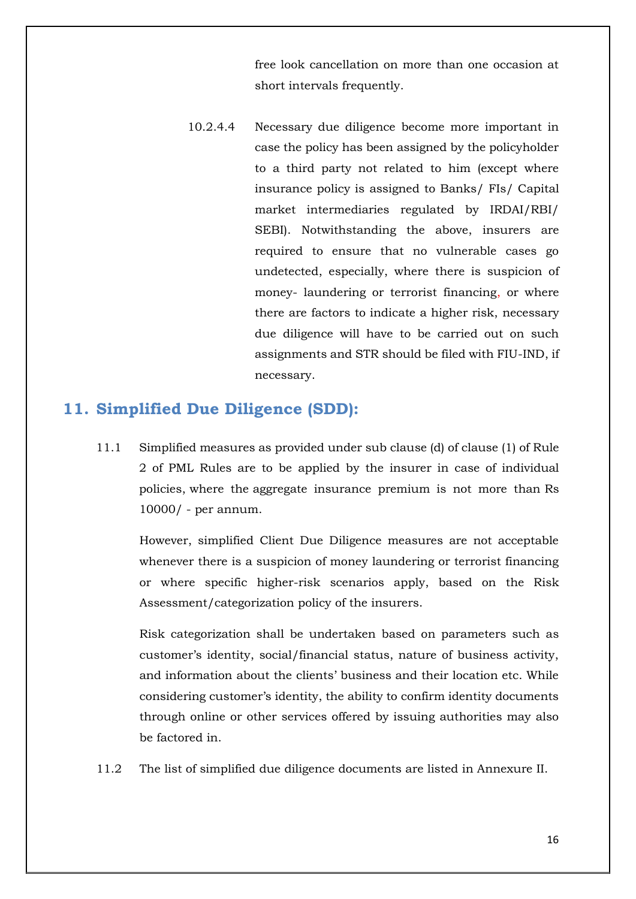free look cancellation on more than one occasion at short intervals frequently.

10.2.4.4 Necessary due diligence become more important in case the policy has been assigned by the policyholder to a third party not related to him (except where insurance policy is assigned to Banks/ FIs/ Capital market intermediaries regulated by IRDAI/RBI/ SEBI). Notwithstanding the above, insurers are required to ensure that no vulnerable cases go undetected, especially, where there is suspicion of money- laundering or terrorist financing, or where there are factors to indicate a higher risk, necessary due diligence will have to be carried out on such assignments and STR should be filed with FIU-IND, if necessary.

#### **11. Simplified Due Diligence (SDD):**

11.1 Simplified measures as provided under sub clause (d) of clause (1) of Rule 2 of PML Rules are to be applied by the insurer in case of individual policies, where the aggregate insurance premium is not more than Rs 10000/ - per annum.

However, simplified Client Due Diligence measures are not acceptable whenever there is a suspicion of money laundering or terrorist financing or where specific higher-risk scenarios apply, based on the Risk Assessment/categorization policy of the insurers.

Risk categorization shall be undertaken based on parameters such as customer's identity, social/financial status, nature of business activity, and information about the clients' business and their location etc. While considering customer's identity, the ability to confirm identity documents through online or other services offered by issuing authorities may also be factored in.

11.2 The list of simplified due diligence documents are listed in Annexure II.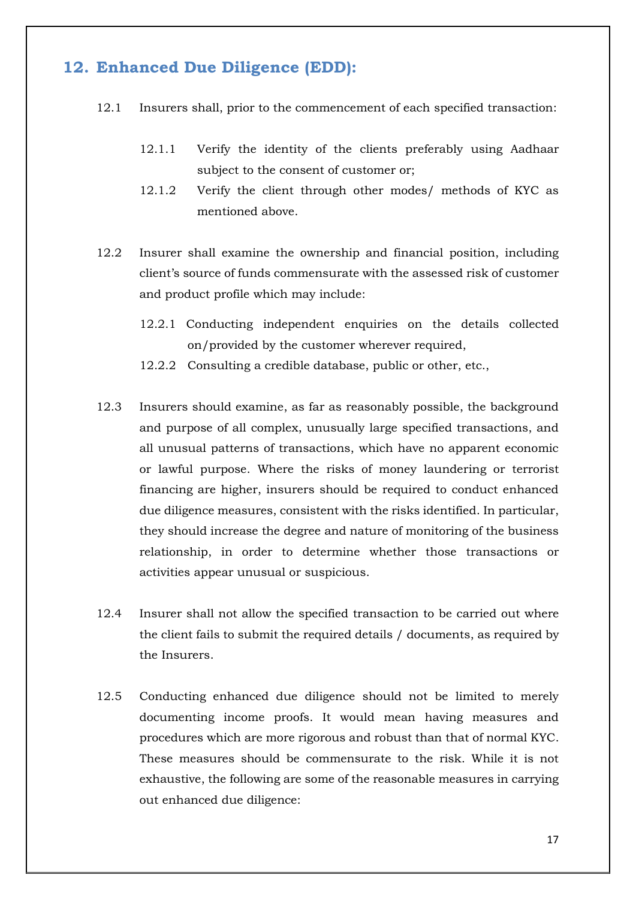## **12. Enhanced Due Diligence (EDD):**

- 12.1 Insurers shall, prior to the commencement of each specified transaction:
	- 12.1.1 Verify the identity of the clients preferably using Aadhaar subject to the consent of customer or;
	- 12.1.2 Verify the client through other modes/ methods of KYC as mentioned above.
- 12.2 Insurer shall examine the ownership and financial position, including client's source of funds commensurate with the assessed risk of customer and product profile which may include:
	- 12.2.1 Conducting independent enquiries on the details collected on/provided by the customer wherever required,
	- 12.2.2 Consulting a credible database, public or other, etc.,
- 12.3 Insurers should examine, as far as reasonably possible, the background and purpose of all complex, unusually large specified transactions, and all unusual patterns of transactions, which have no apparent economic or lawful purpose. Where the risks of money laundering or terrorist financing are higher, insurers should be required to conduct enhanced due diligence measures, consistent with the risks identified. In particular, they should increase the degree and nature of monitoring of the business relationship, in order to determine whether those transactions or activities appear unusual or suspicious.
- 12.4 Insurer shall not allow the specified transaction to be carried out where the client fails to submit the required details / documents, as required by the Insurers.
- 12.5 Conducting enhanced due diligence should not be limited to merely documenting income proofs. It would mean having measures and procedures which are more rigorous and robust than that of normal KYC. These measures should be commensurate to the risk. While it is not exhaustive, the following are some of the reasonable measures in carrying out enhanced due diligence: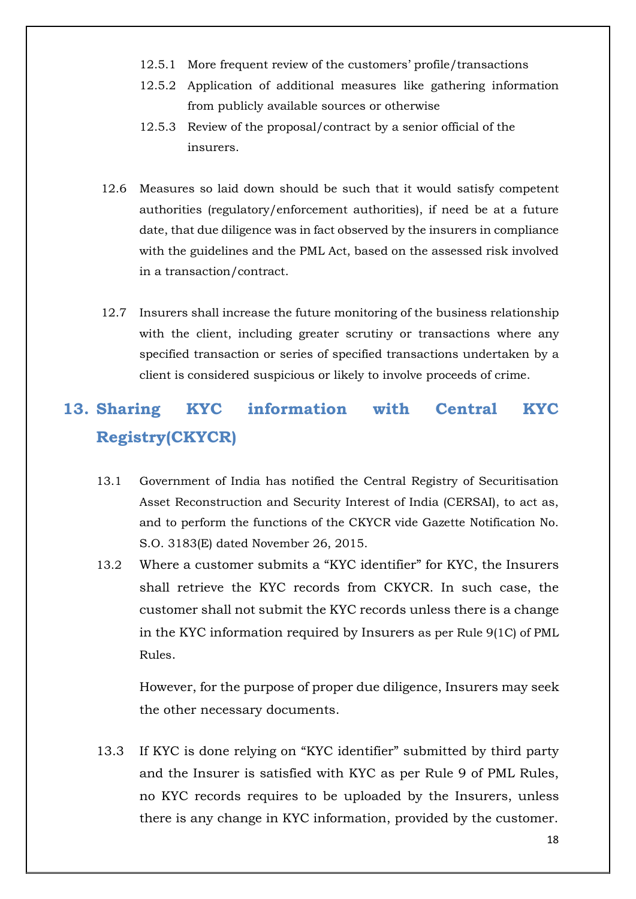- 12.5.1 More frequent review of the customers' profile/transactions
- 12.5.2 Application of additional measures like gathering information from publicly available sources or otherwise
- 12.5.3 Review of the proposal/contract by a senior official of the insurers.
- 12.6 Measures so laid down should be such that it would satisfy competent authorities (regulatory/enforcement authorities), if need be at a future date, that due diligence was in fact observed by the insurers in compliance with the guidelines and the PML Act, based on the assessed risk involved in a transaction/contract.
- 12.7 Insurers shall increase the future monitoring of the business relationship with the client, including greater scrutiny or transactions where any specified transaction or series of specified transactions undertaken by a client is considered suspicious or likely to involve proceeds of crime.

# **13. Sharing KYC information with Central KYC Registry(CKYCR)**

- 13.1 Government of India has notified the Central Registry of Securitisation Asset Reconstruction and Security Interest of India (CERSAI), to act as, and to perform the functions of the CKYCR vide Gazette Notification No. S.O. 3183(E) dated November 26, 2015.
- 13.2 Where a customer submits a "KYC identifier" for KYC, the Insurers shall retrieve the KYC records from CKYCR. In such case, the customer shall not submit the KYC records unless there is a change in the KYC information required by Insurers as per Rule 9(1C) of PML Rules.

However, for the purpose of proper due diligence, Insurers may seek the other necessary documents.

13.3 If KYC is done relying on "KYC identifier" submitted by third party and the Insurer is satisfied with KYC as per Rule 9 of PML Rules, no KYC records requires to be uploaded by the Insurers, unless there is any change in KYC information, provided by the customer.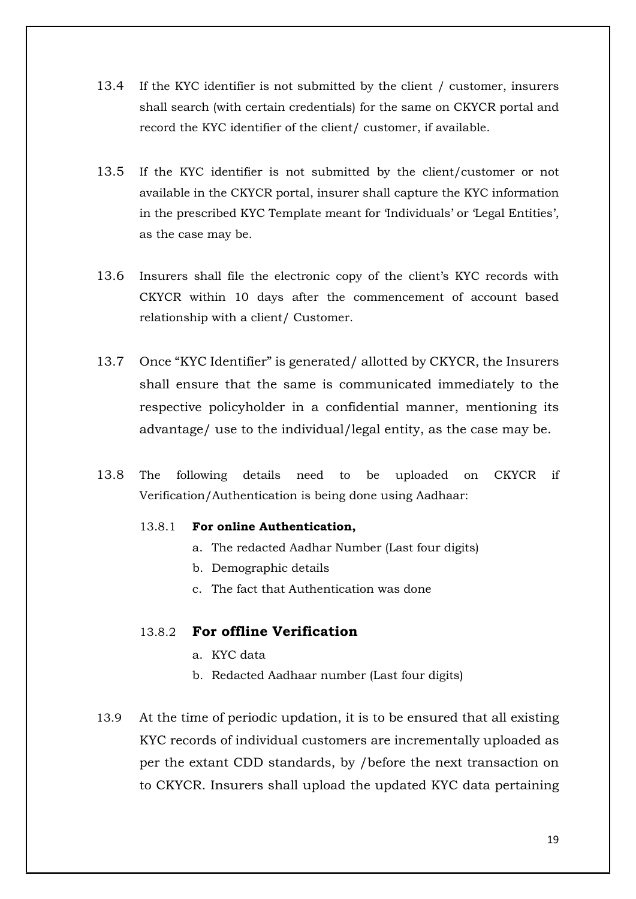- 13.4 If the KYC identifier is not submitted by the client / customer, insurers shall search (with certain credentials) for the same on CKYCR portal and record the KYC identifier of the client/ customer, if available.
- 13.5 If the KYC identifier is not submitted by the client/customer or not available in the CKYCR portal, insurer shall capture the KYC information in the prescribed KYC Template meant for 'Individuals' or 'Legal Entities', as the case may be.
- 13.6 Insurers shall file the electronic copy of the client's KYC records with CKYCR within 10 days after the commencement of account based relationship with a client/ Customer.
- 13.7 Once "KYC Identifier" is generated/ allotted by CKYCR, the Insurers shall ensure that the same is communicated immediately to the respective policyholder in a confidential manner, mentioning its advantage/ use to the individual/legal entity, as the case may be.
- 13.8 The following details need to be uploaded on CKYCR if Verification/Authentication is being done using Aadhaar:

#### 13.8.1 **For online Authentication,**

- a. The redacted Aadhar Number (Last four digits)
- b. Demographic details
- c. The fact that Authentication was done

#### 13.8.2 **For offline Verification**

- a. KYC data
- b. Redacted Aadhaar number (Last four digits)
- 13.9 At the time of periodic updation, it is to be ensured that all existing KYC records of individual customers are incrementally uploaded as per the extant CDD standards, by /before the next transaction on to CKYCR. Insurers shall upload the updated KYC data pertaining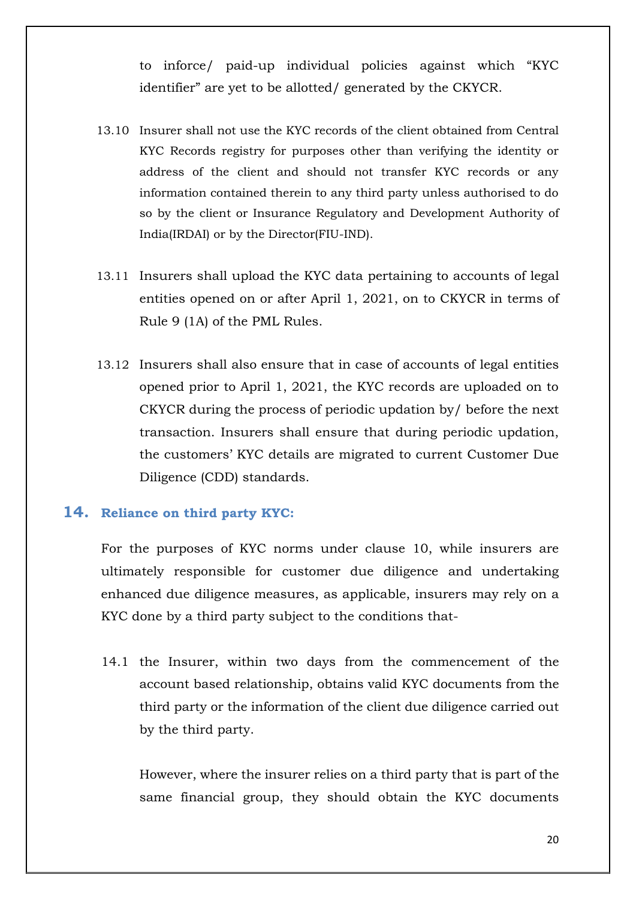to inforce/ paid-up individual policies against which "KYC identifier" are yet to be allotted/ generated by the CKYCR.

- 13.10 Insurer shall not use the KYC records of the client obtained from Central KYC Records registry for purposes other than verifying the identity or address of the client and should not transfer KYC records or any information contained therein to any third party unless authorised to do so by the client or Insurance Regulatory and Development Authority of India(IRDAI) or by the Director(FIU-IND).
- 13.11 Insurers shall upload the KYC data pertaining to accounts of legal entities opened on or after April 1, 2021, on to CKYCR in terms of Rule 9 (1A) of the PML Rules.
- 13.12 Insurers shall also ensure that in case of accounts of legal entities opened prior to April 1, 2021, the KYC records are uploaded on to CKYCR during the process of periodic updation by/ before the next transaction. Insurers shall ensure that during periodic updation, the customers' KYC details are migrated to current Customer Due Diligence (CDD) standards.

#### **14. Reliance on third party KYC:**

For the purposes of KYC norms under clause 10, while insurers are ultimately responsible for customer due diligence and undertaking enhanced due diligence measures, as applicable, insurers may rely on a KYC done by a third party subject to the conditions that-

14.1 the Insurer, within two days from the commencement of the account based relationship, obtains valid KYC documents from the third party or the information of the client due diligence carried out by the third party.

However, where the insurer relies on a third party that is part of the same financial group, they should obtain the KYC documents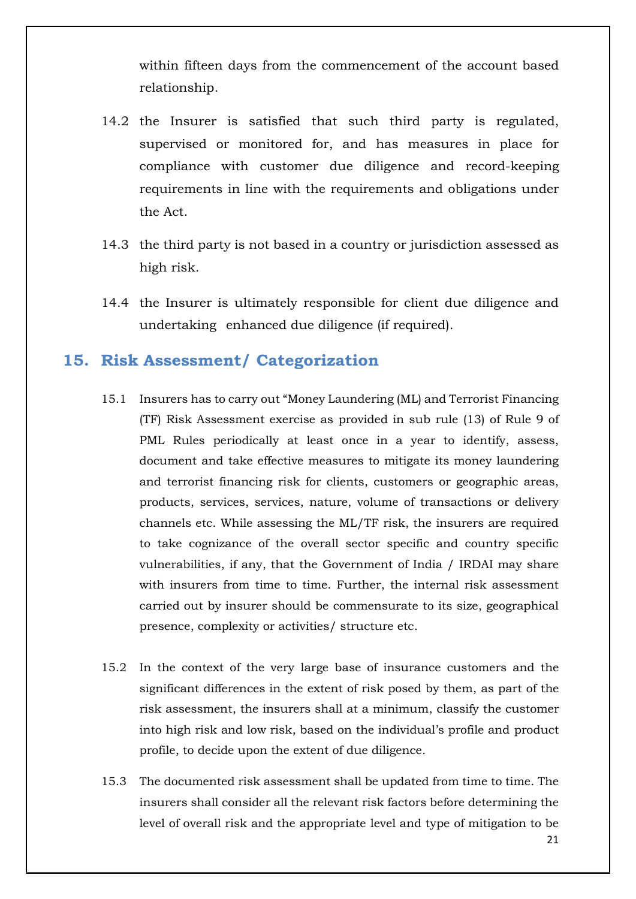within fifteen days from the commencement of the account based relationship.

- 14.2 the Insurer is satisfied that such third party is regulated, supervised or monitored for, and has measures in place for compliance with customer due diligence and record-keeping requirements in line with the requirements and obligations under the Act.
- 14.3 the third party is not based in a country or jurisdiction assessed as high risk.
- 14.4 the Insurer is ultimately responsible for client due diligence and undertaking enhanced due diligence (if required).

### **15. Risk Assessment/ Categorization**

- 15.1 Insurers has to carry out "Money Laundering (ML) and Terrorist Financing (TF) Risk Assessment exercise as provided in sub rule (13) of Rule 9 of PML Rules periodically at least once in a year to identify, assess, document and take effective measures to mitigate its money laundering and terrorist financing risk for clients, customers or geographic areas, products, services, services, nature, volume of transactions or delivery channels etc. While assessing the ML/TF risk, the insurers are required to take cognizance of the overall sector specific and country specific vulnerabilities, if any, that the Government of India / IRDAI may share with insurers from time to time. Further, the internal risk assessment carried out by insurer should be commensurate to its size, geographical presence, complexity or activities/ structure etc.
- 15.2 In the context of the very large base of insurance customers and the significant differences in the extent of risk posed by them, as part of the risk assessment, the insurers shall at a minimum, classify the customer into high risk and low risk, based on the individual's profile and product profile, to decide upon the extent of due diligence.
- 15.3 The documented risk assessment shall be updated from time to time. The insurers shall consider all the relevant risk factors before determining the level of overall risk and the appropriate level and type of mitigation to be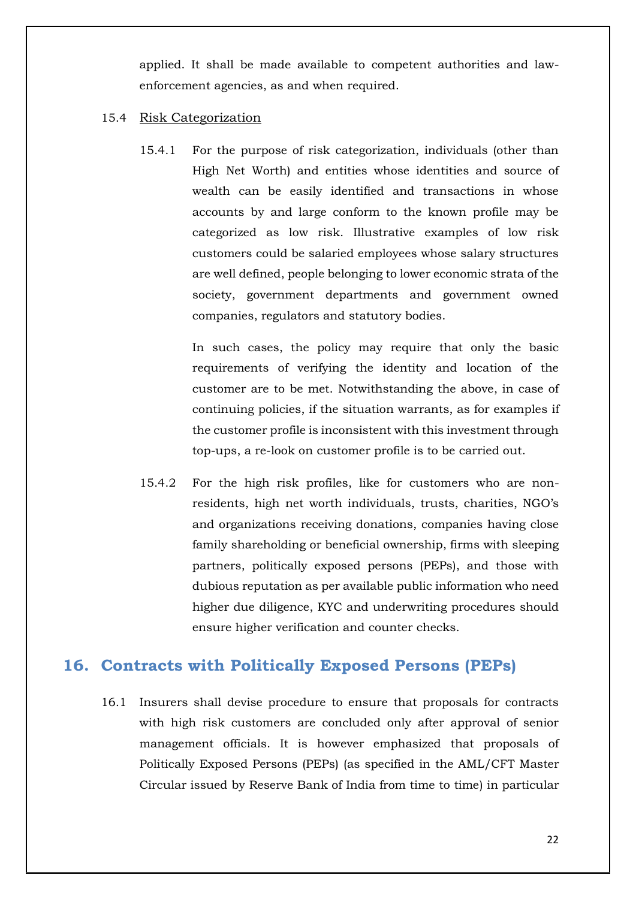applied. It shall be made available to competent authorities and lawenforcement agencies, as and when required.

#### 15.4 Risk Categorization

15.4.1 For the purpose of risk categorization, individuals (other than High Net Worth) and entities whose identities and source of wealth can be easily identified and transactions in whose accounts by and large conform to the known profile may be categorized as low risk. Illustrative examples of low risk customers could be salaried employees whose salary structures are well defined, people belonging to lower economic strata of the society, government departments and government owned companies, regulators and statutory bodies.

> In such cases, the policy may require that only the basic requirements of verifying the identity and location of the customer are to be met. Notwithstanding the above, in case of continuing policies, if the situation warrants, as for examples if the customer profile is inconsistent with this investment through top-ups, a re-look on customer profile is to be carried out.

15.4.2 For the high risk profiles, like for customers who are nonresidents, high net worth individuals, trusts, charities, NGO's and organizations receiving donations, companies having close family shareholding or beneficial ownership, firms with sleeping partners, politically exposed persons (PEPs), and those with dubious reputation as per available public information who need higher due diligence, KYC and underwriting procedures should ensure higher verification and counter checks.

#### **16. Contracts with Politically Exposed Persons (PEPs)**

16.1 Insurers shall devise procedure to ensure that proposals for contracts with high risk customers are concluded only after approval of senior management officials. It is however emphasized that proposals of Politically Exposed Persons (PEPs) (as specified in the AML/CFT Master Circular issued by Reserve Bank of India from time to time) in particular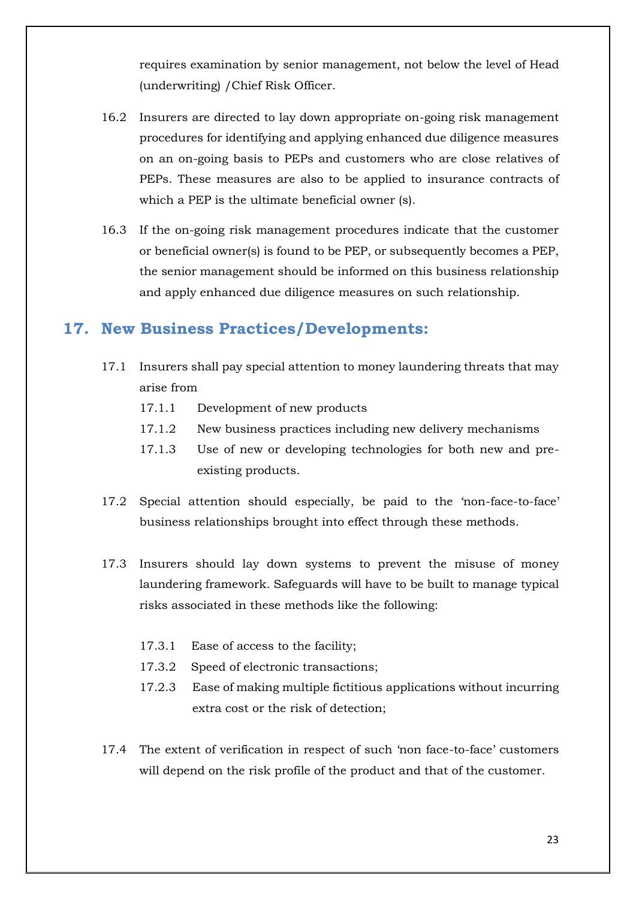requires examination by senior management, not below the level of Head (underwriting) /Chief Risk Officer.

- 16.2 Insurers are directed to lay down appropriate on-going risk management procedures for identifying and applying enhanced due diligence measures on an on-going basis to PEPs and customers who are close relatives of PEPs. These measures are also to be applied to insurance contracts of which a PEP is the ultimate beneficial owner (s).
- 16.3 If the on-going risk management procedures indicate that the customer or beneficial owner(s) is found to be PEP, or subsequently becomes a PEP, the senior management should be informed on this business relationship and apply enhanced due diligence measures on such relationship.

# **17. New Business Practices/Developments:**

- 17.1 Insurers shall pay special attention to money laundering threats that may arise from
	- 17.1.1 Development of new products
	- 17.1.2 New business practices including new delivery mechanisms
	- 17.1.3 Use of new or developing technologies for both new and preexisting products.
- 17.2 Special attention should especially, be paid to the 'non-face-to-face' business relationships brought into effect through these methods.
- 17.3 Insurers should lay down systems to prevent the misuse of money laundering framework. Safeguards will have to be built to manage typical risks associated in these methods like the following:
	- 17.3.1 Ease of access to the facility;
	- 17.3.2 Speed of electronic transactions;
	- 17.2.3 Ease of making multiple fictitious applications without incurring extra cost or the risk of detection;
- 17.4 The extent of verification in respect of such 'non face-to-face' customers will depend on the risk profile of the product and that of the customer.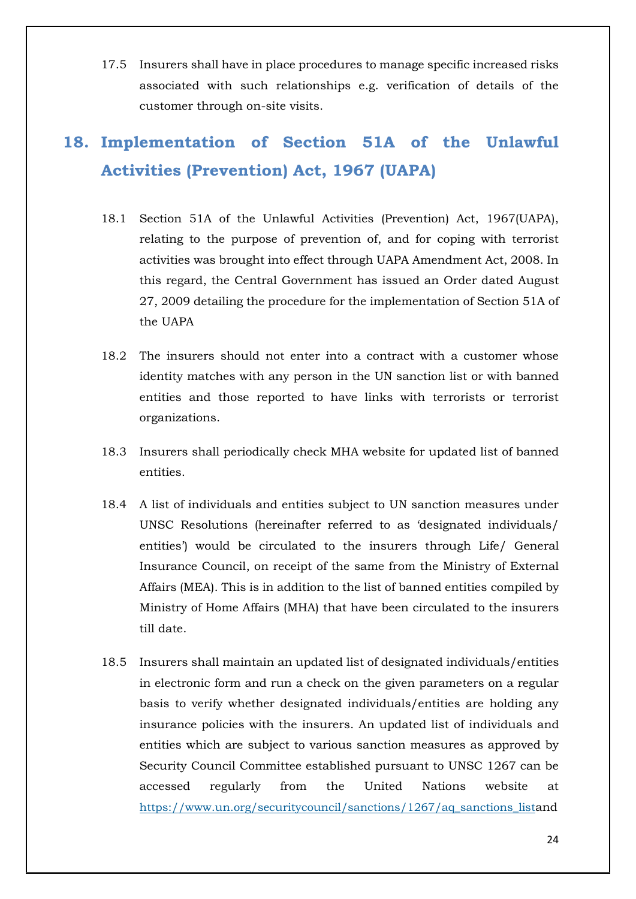17.5 Insurers shall have in place procedures to manage specific increased risks associated with such relationships e.g. verification of details of the customer through on-site visits.

# **18. Implementation of Section 51A of the Unlawful Activities (Prevention) Act, 1967 (UAPA)**

- 18.1 Section 51A of the Unlawful Activities (Prevention) Act, 1967(UAPA), relating to the purpose of prevention of, and for coping with terrorist activities was brought into effect through UAPA Amendment Act, 2008. In this regard, the Central Government has issued an Order dated August 27, 2009 detailing the procedure for the implementation of Section 51A of the UAPA
- 18.2 The insurers should not enter into a contract with a customer whose identity matches with any person in the UN sanction list or with banned entities and those reported to have links with terrorists or terrorist organizations.
- 18.3 Insurers shall periodically check MHA website for updated list of banned entities.
- 18.4 A list of individuals and entities subject to UN sanction measures under UNSC Resolutions (hereinafter referred to as 'designated individuals/ entities') would be circulated to the insurers through Life/ General Insurance Council, on receipt of the same from the Ministry of External Affairs (MEA). This is in addition to the list of banned entities compiled by Ministry of Home Affairs (MHA) that have been circulated to the insurers till date.
- 18.5 Insurers shall maintain an updated list of designated individuals/entities in electronic form and run a check on the given parameters on a regular basis to verify whether designated individuals/entities are holding any insurance policies with the insurers. An updated list of individuals and entities which are subject to various sanction measures as approved by Security Council Committee established pursuant to UNSC 1267 can be accessed regularly from the United Nations website at https://www.un.org/securitycouncil/sanctions/1267/aq\_sanctions\_listand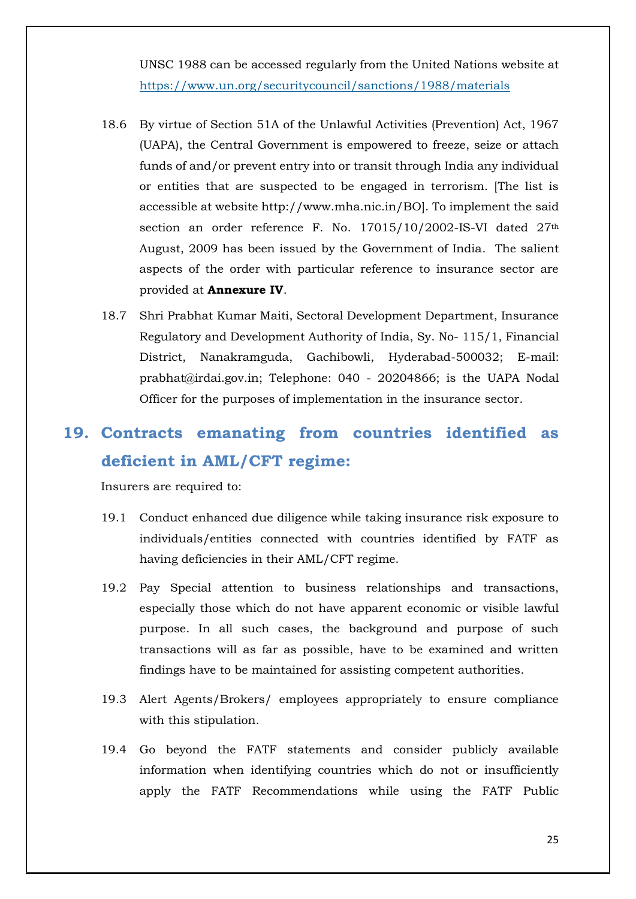UNSC 1988 can be accessed regularly from the United Nations website at https://www.un.org/securitycouncil/sanctions/1988/materials

- 18.6 By virtue of Section 51A of the Unlawful Activities (Prevention) Act, 1967 (UAPA), the Central Government is empowered to freeze, seize or attach funds of and/or prevent entry into or transit through India any individual or entities that are suspected to be engaged in terrorism. [The list is accessible at website http://www.mha.nic.in/BO]. To implement the said section an order reference F. No. 17015/10/2002-IS-VI dated 27<sup>th</sup> August, 2009 has been issued by the Government of India. The salient aspects of the order with particular reference to insurance sector are provided at **Annexure IV**.
- 18.7 Shri Prabhat Kumar Maiti, Sectoral Development Department, Insurance Regulatory and Development Authority of India, Sy. No- 115/1, Financial District, Nanakramguda, Gachibowli, Hyderabad-500032; E-mail: prabhat@irdai.gov.in; Telephone: 040 - 20204866; is the UAPA Nodal Officer for the purposes of implementation in the insurance sector.

# **19. Contracts emanating from countries identified as deficient in AML/CFT regime:**

Insurers are required to:

- 19.1 Conduct enhanced due diligence while taking insurance risk exposure to individuals/entities connected with countries identified by FATF as having deficiencies in their AML/CFT regime.
- 19.2 Pay Special attention to business relationships and transactions, especially those which do not have apparent economic or visible lawful purpose. In all such cases, the background and purpose of such transactions will as far as possible, have to be examined and written findings have to be maintained for assisting competent authorities.
- 19.3 Alert Agents/Brokers/ employees appropriately to ensure compliance with this stipulation.
- 19.4 Go beyond the FATF statements and consider publicly available information when identifying countries which do not or insufficiently apply the FATF Recommendations while using the FATF Public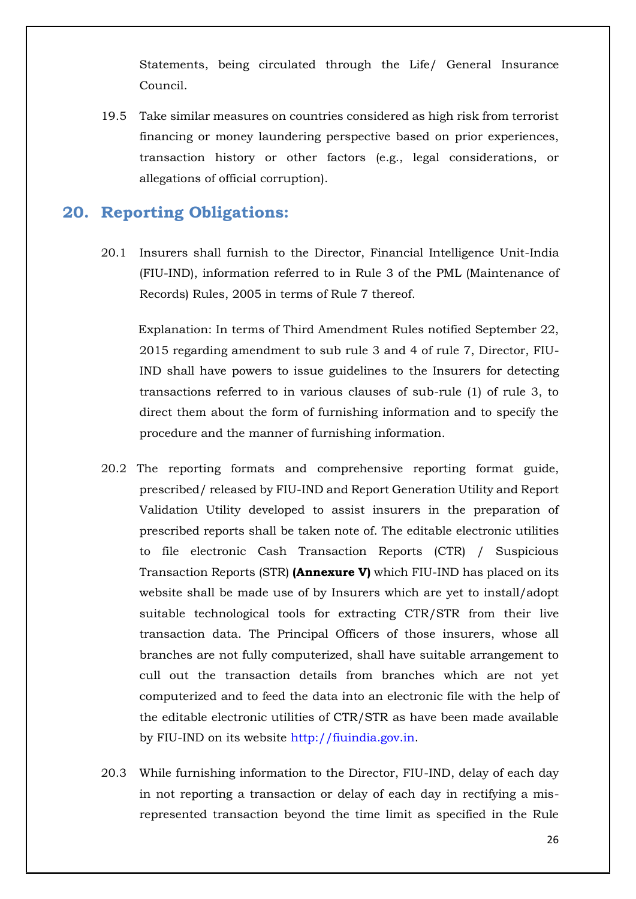Statements, being circulated through the Life/ General Insurance Council.

19.5 Take similar measures on countries considered as high risk from terrorist financing or money laundering perspective based on prior experiences, transaction history or other factors (e.g., legal considerations, or allegations of official corruption).

## **20. Reporting Obligations:**

20.1 Insurers shall furnish to the Director, Financial Intelligence Unit-India (FIU-IND), information referred to in Rule 3 of the PML (Maintenance of Records) Rules, 2005 in terms of Rule 7 thereof.

 Explanation: In terms of Third Amendment Rules notified September 22, 2015 regarding amendment to sub rule 3 and 4 of rule 7, Director, FIU-IND shall have powers to issue guidelines to the Insurers for detecting transactions referred to in various clauses of sub-rule (1) of rule 3, to direct them about the form of furnishing information and to specify the procedure and the manner of furnishing information.

- 20.2 The reporting formats and comprehensive reporting format guide, prescribed/ released by FIU-IND and Report Generation Utility and Report Validation Utility developed to assist insurers in the preparation of prescribed reports shall be taken note of. The editable electronic utilities to file electronic Cash Transaction Reports (CTR) / Suspicious Transaction Reports (STR) **(Annexure V)** which FIU-IND has placed on its website shall be made use of by Insurers which are yet to install/adopt suitable technological tools for extracting CTR/STR from their live transaction data. The Principal Officers of those insurers, whose all branches are not fully computerized, shall have suitable arrangement to cull out the transaction details from branches which are not yet computerized and to feed the data into an electronic file with the help of the editable electronic utilities of CTR/STR as have been made available by FIU-IND on its website http://fiuindia.gov.in.
- 20.3 While furnishing information to the Director, FIU-IND, delay of each day in not reporting a transaction or delay of each day in rectifying a misrepresented transaction beyond the time limit as specified in the Rule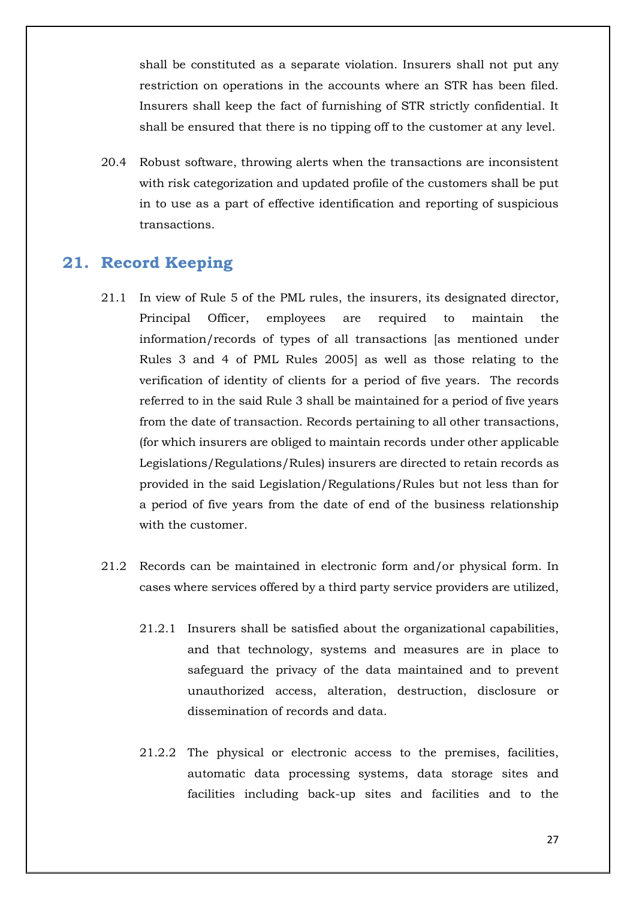shall be constituted as a separate violation. Insurers shall not put any restriction on operations in the accounts where an STR has been filed. Insurers shall keep the fact of furnishing of STR strictly confidential. It shall be ensured that there is no tipping off to the customer at any level.

20.4 Robust software, throwing alerts when the transactions are inconsistent with risk categorization and updated profile of the customers shall be put in to use as a part of effective identification and reporting of suspicious transactions.

#### **21. Record Keeping**

- 21.1 In view of Rule 5 of the PML rules, the insurers, its designated director, Principal Officer, employees are required to maintain the information/records of types of all transactions [as mentioned under Rules 3 and 4 of PML Rules 2005] as well as those relating to the verification of identity of clients for a period of five years. The records referred to in the said Rule 3 shall be maintained for a period of five years from the date of transaction. Records pertaining to all other transactions, (for which insurers are obliged to maintain records under other applicable Legislations/Regulations/Rules) insurers are directed to retain records as provided in the said Legislation/Regulations/Rules but not less than for a period of five years from the date of end of the business relationship with the customer.
- 21.2 Records can be maintained in electronic form and/or physical form. In cases where services offered by a third party service providers are utilized,
	- 21.2.1 Insurers shall be satisfied about the organizational capabilities, and that technology, systems and measures are in place to safeguard the privacy of the data maintained and to prevent unauthorized access, alteration, destruction, disclosure or dissemination of records and data.
	- 21.2.2 The physical or electronic access to the premises, facilities, automatic data processing systems, data storage sites and facilities including back-up sites and facilities and to the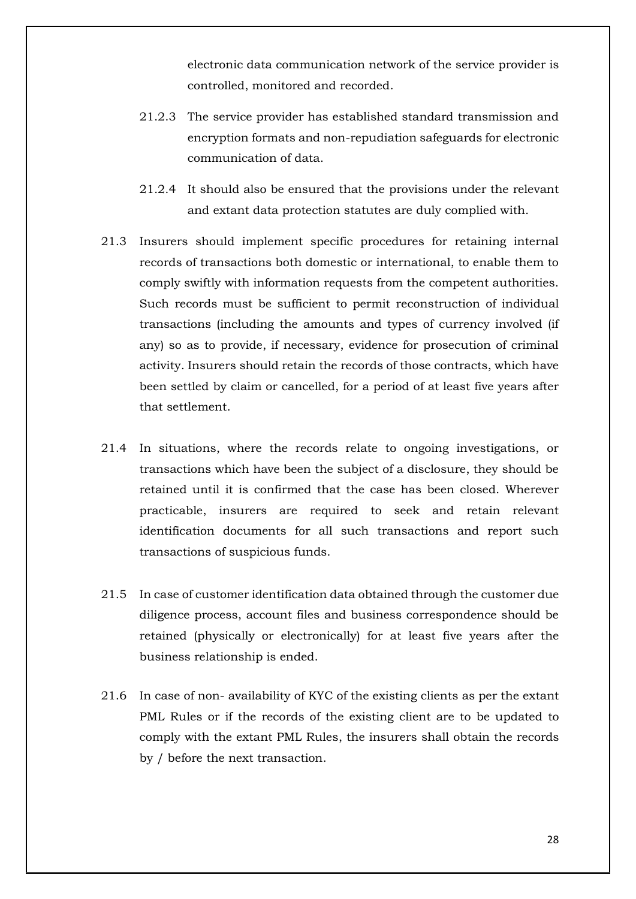electronic data communication network of the service provider is controlled, monitored and recorded.

- 21.2.3 The service provider has established standard transmission and encryption formats and non-repudiation safeguards for electronic communication of data.
- 21.2.4 It should also be ensured that the provisions under the relevant and extant data protection statutes are duly complied with.
- 21.3 Insurers should implement specific procedures for retaining internal records of transactions both domestic or international, to enable them to comply swiftly with information requests from the competent authorities. Such records must be sufficient to permit reconstruction of individual transactions (including the amounts and types of currency involved (if any) so as to provide, if necessary, evidence for prosecution of criminal activity. Insurers should retain the records of those contracts, which have been settled by claim or cancelled, for a period of at least five years after that settlement.
- 21.4 In situations, where the records relate to ongoing investigations, or transactions which have been the subject of a disclosure, they should be retained until it is confirmed that the case has been closed. Wherever practicable, insurers are required to seek and retain relevant identification documents for all such transactions and report such transactions of suspicious funds.
- 21.5 In case of customer identification data obtained through the customer due diligence process, account files and business correspondence should be retained (physically or electronically) for at least five years after the business relationship is ended.
- 21.6 In case of non- availability of KYC of the existing clients as per the extant PML Rules or if the records of the existing client are to be updated to comply with the extant PML Rules, the insurers shall obtain the records by / before the next transaction.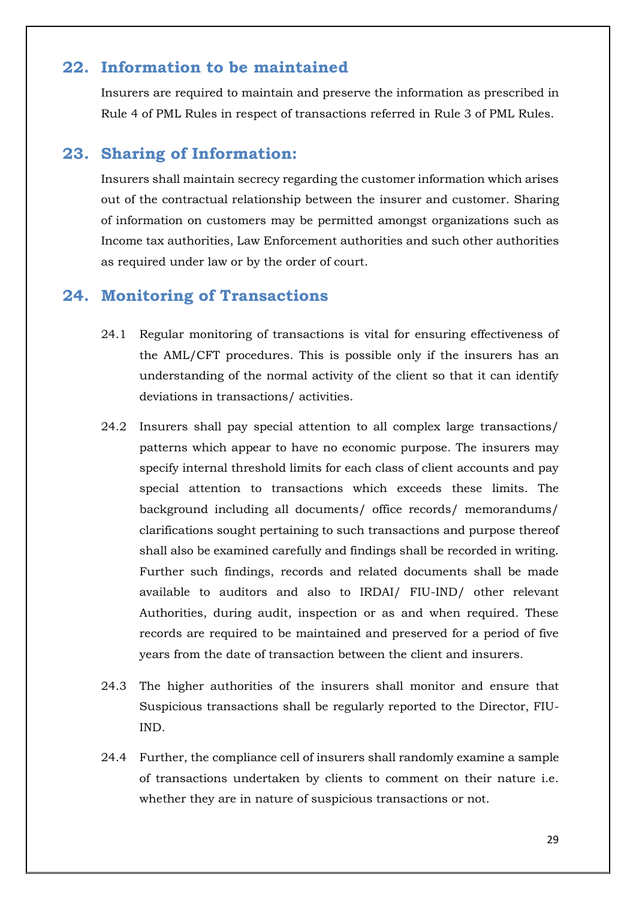#### **22. Information to be maintained**

Insurers are required to maintain and preserve the information as prescribed in Rule 4 of PML Rules in respect of transactions referred in Rule 3 of PML Rules.

#### **23. Sharing of Information:**

Insurers shall maintain secrecy regarding the customer information which arises out of the contractual relationship between the insurer and customer. Sharing of information on customers may be permitted amongst organizations such as Income tax authorities, Law Enforcement authorities and such other authorities as required under law or by the order of court.

#### **24. Monitoring of Transactions**

- 24.1 Regular monitoring of transactions is vital for ensuring effectiveness of the AML/CFT procedures. This is possible only if the insurers has an understanding of the normal activity of the client so that it can identify deviations in transactions/ activities.
- 24.2 Insurers shall pay special attention to all complex large transactions/ patterns which appear to have no economic purpose. The insurers may specify internal threshold limits for each class of client accounts and pay special attention to transactions which exceeds these limits. The background including all documents/ office records/ memorandums/ clarifications sought pertaining to such transactions and purpose thereof shall also be examined carefully and findings shall be recorded in writing. Further such findings, records and related documents shall be made available to auditors and also to IRDAI/ FIU-IND/ other relevant Authorities, during audit, inspection or as and when required. These records are required to be maintained and preserved for a period of five years from the date of transaction between the client and insurers.
- 24.3 The higher authorities of the insurers shall monitor and ensure that Suspicious transactions shall be regularly reported to the Director, FIU-IND.
- 24.4 Further, the compliance cell of insurers shall randomly examine a sample of transactions undertaken by clients to comment on their nature i.e. whether they are in nature of suspicious transactions or not.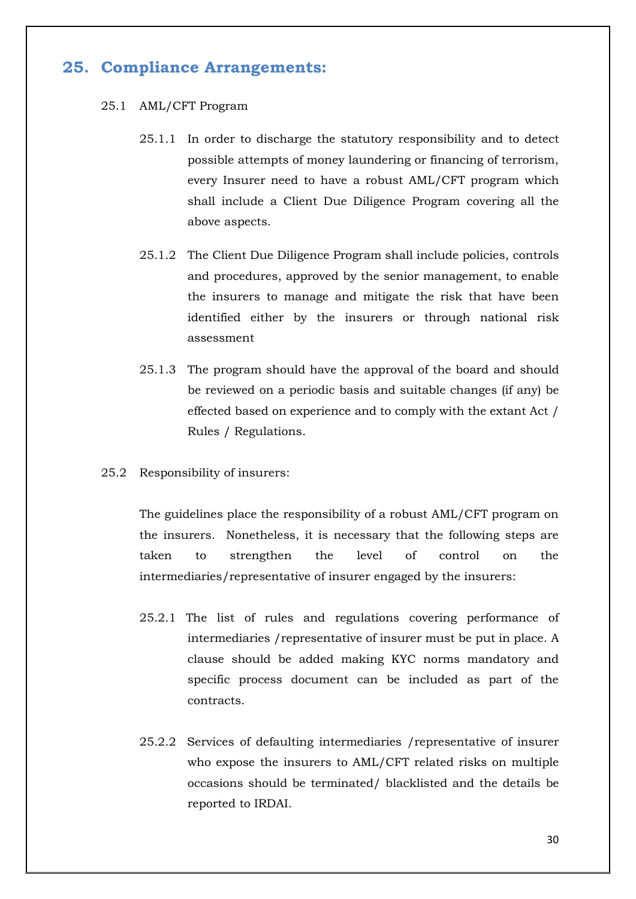## **25. Compliance Arrangements:**

#### 25.1 AML/CFT Program

- 25.1.1 In order to discharge the statutory responsibility and to detect possible attempts of money laundering or financing of terrorism, every Insurer need to have a robust AML/CFT program which shall include a Client Due Diligence Program covering all the above aspects.
- 25.1.2 The Client Due Diligence Program shall include policies, controls and procedures, approved by the senior management, to enable the insurers to manage and mitigate the risk that have been identified either by the insurers or through national risk assessment
- 25.1.3 The program should have the approval of the board and should be reviewed on a periodic basis and suitable changes (if any) be effected based on experience and to comply with the extant Act / Rules / Regulations.
- 25.2 Responsibility of insurers:

The guidelines place the responsibility of a robust AML/CFT program on the insurers. Nonetheless, it is necessary that the following steps are taken to strengthen the level of control on the intermediaries/representative of insurer engaged by the insurers:

- 25.2.1 The list of rules and regulations covering performance of intermediaries /representative of insurer must be put in place. A clause should be added making KYC norms mandatory and specific process document can be included as part of the contracts.
- 25.2.2 Services of defaulting intermediaries /representative of insurer who expose the insurers to AML/CFT related risks on multiple occasions should be terminated/ blacklisted and the details be reported to IRDAI.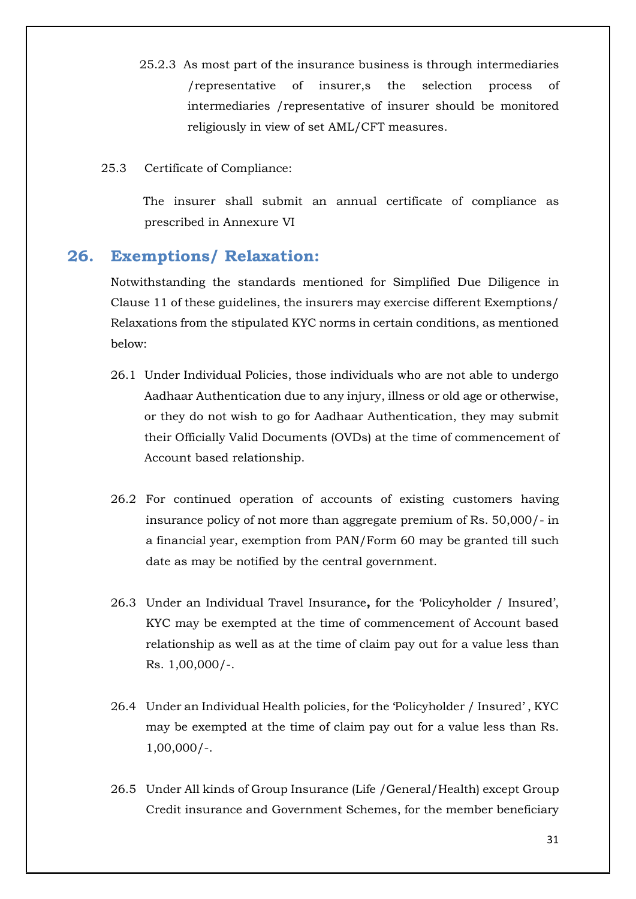- 25.2.3 As most part of the insurance business is through intermediaries /representative of insurer,s the selection process of intermediaries /representative of insurer should be monitored religiously in view of set AML/CFT measures.
- 25.3 Certificate of Compliance:

The insurer shall submit an annual certificate of compliance as prescribed in Annexure VI

#### **26. Exemptions/ Relaxation:**

Notwithstanding the standards mentioned for Simplified Due Diligence in Clause 11 of these guidelines, the insurers may exercise different Exemptions/ Relaxations from the stipulated KYC norms in certain conditions, as mentioned below:

- 26.1 Under Individual Policies, those individuals who are not able to undergo Aadhaar Authentication due to any injury, illness or old age or otherwise, or they do not wish to go for Aadhaar Authentication, they may submit their Officially Valid Documents (OVDs) at the time of commencement of Account based relationship.
- 26.2 For continued operation of accounts of existing customers having insurance policy of not more than aggregate premium of Rs. 50,000/- in a financial year, exemption from PAN/Form 60 may be granted till such date as may be notified by the central government.
- 26.3 Under an Individual Travel Insurance**,** for the 'Policyholder / Insured', KYC may be exempted at the time of commencement of Account based relationship as well as at the time of claim pay out for a value less than Rs. 1,00,000/-.
- 26.4 Under an Individual Health policies, for the 'Policyholder / Insured' , KYC may be exempted at the time of claim pay out for a value less than Rs. 1,00,000/-.
- 26.5 Under All kinds of Group Insurance (Life /General/Health) except Group Credit insurance and Government Schemes, for the member beneficiary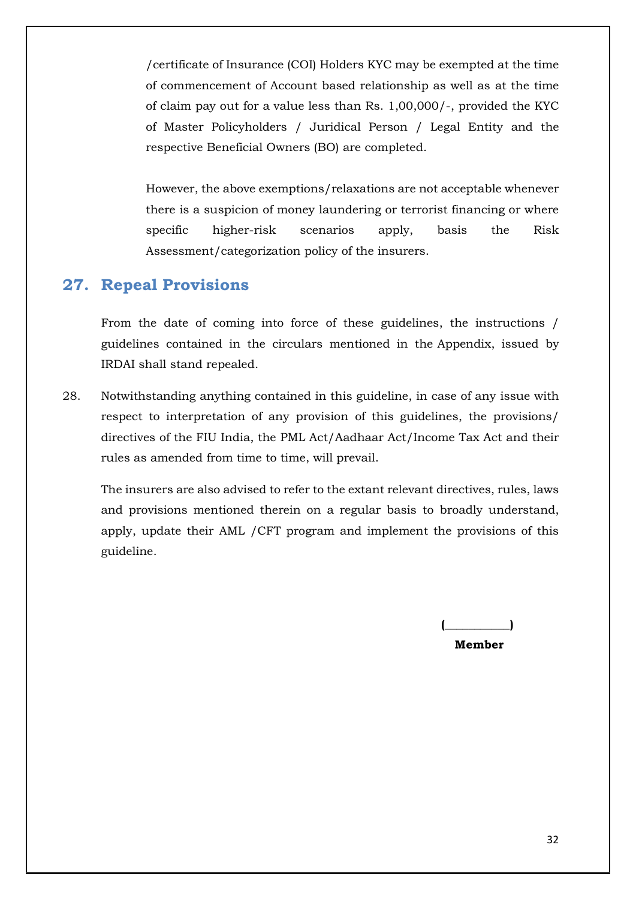/certificate of Insurance (COI) Holders KYC may be exempted at the time of commencement of Account based relationship as well as at the time of claim pay out for a value less than Rs. 1,00,000/-, provided the KYC of Master Policyholders / Juridical Person / Legal Entity and the respective Beneficial Owners (BO) are completed.

However, the above exemptions/relaxations are not acceptable whenever there is a suspicion of money laundering or terrorist financing or where specific higher-risk scenarios apply, basis the Risk Assessment/categorization policy of the insurers.

### **27. Repeal Provisions**

From the date of coming into force of these guidelines, the instructions / guidelines contained in the circulars mentioned in the Appendix, issued by IRDAI shall stand repealed.

28. Notwithstanding anything contained in this guideline, in case of any issue with respect to interpretation of any provision of this guidelines, the provisions/ directives of the FIU India, the PML Act/Aadhaar Act/Income Tax Act and their rules as amended from time to time, will prevail.

The insurers are also advised to refer to the extant relevant directives, rules, laws and provisions mentioned therein on a regular basis to broadly understand, apply, update their AML /CFT program and implement the provisions of this guideline.

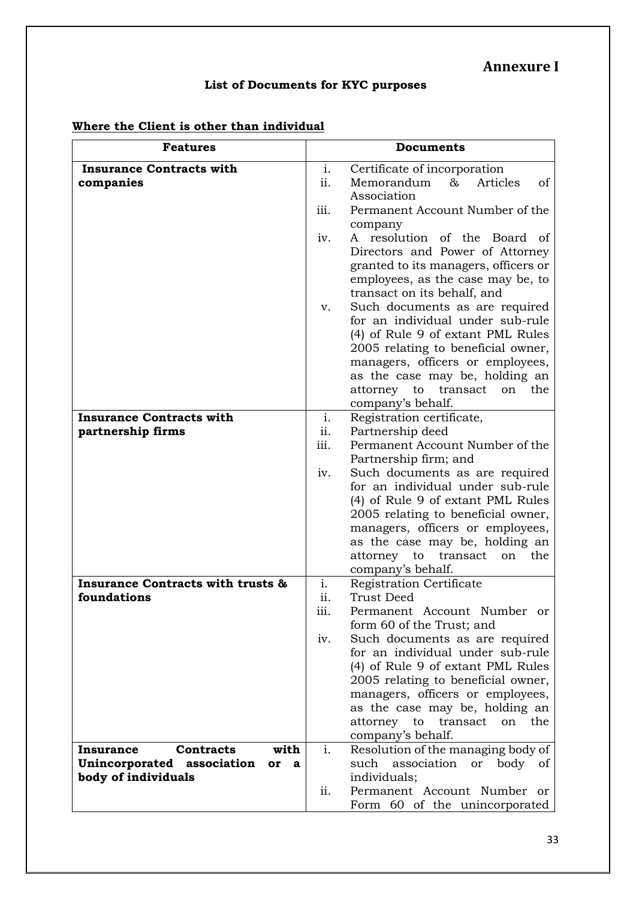### **Annexure I**

# **List of Documents for KYC purposes**

# **Where the Client is other than individual**

| <b>Features</b>                                    |      | <b>Documents</b>                                                                                                                            |  |  |
|----------------------------------------------------|------|---------------------------------------------------------------------------------------------------------------------------------------------|--|--|
| <b>Insurance Contracts with</b>                    |      | Certificate of incorporation                                                                                                                |  |  |
| companies                                          | ii.  | Memorandum<br>&<br>Articles<br>οf<br>Association                                                                                            |  |  |
|                                                    | iii. | Permanent Account Number of the<br>company                                                                                                  |  |  |
|                                                    | iv.  | A resolution of the Board of                                                                                                                |  |  |
|                                                    |      | Directors and Power of Attorney<br>granted to its managers, officers or<br>employees, as the case may be, to<br>transact on its behalf, and |  |  |
|                                                    | v.   | Such documents as are required                                                                                                              |  |  |
|                                                    |      | for an individual under sub-rule                                                                                                            |  |  |
|                                                    |      | (4) of Rule 9 of extant PML Rules                                                                                                           |  |  |
|                                                    |      | 2005 relating to beneficial owner,                                                                                                          |  |  |
|                                                    |      | managers, officers or employees,<br>as the case may be, holding an                                                                          |  |  |
|                                                    |      | to<br>transact<br>the<br>attorney<br>on                                                                                                     |  |  |
|                                                    |      | company's behalf.                                                                                                                           |  |  |
| <b>Insurance Contracts with</b>                    | i.   | Registration certificate,                                                                                                                   |  |  |
| partnership firms                                  | ii.  | Partnership deed                                                                                                                            |  |  |
|                                                    | iii. | Permanent Account Number of the                                                                                                             |  |  |
|                                                    | iv.  | Partnership firm; and<br>Such documents as are required                                                                                     |  |  |
|                                                    |      | for an individual under sub-rule                                                                                                            |  |  |
|                                                    |      | (4) of Rule 9 of extant PML Rules                                                                                                           |  |  |
|                                                    |      | 2005 relating to beneficial owner,                                                                                                          |  |  |
|                                                    |      | managers, officers or employees,                                                                                                            |  |  |
|                                                    |      | as the case may be, holding an                                                                                                              |  |  |
|                                                    |      | the<br>attorney<br>to<br>transact<br>on<br>company's behalf.                                                                                |  |  |
| <b>Insurance Contracts with trusts &amp;</b>       | i.   | Registration Certificate                                                                                                                    |  |  |
| foundations                                        | ii.  | <b>Trust Deed</b>                                                                                                                           |  |  |
|                                                    | iii. | Permanent Account Number<br>or                                                                                                              |  |  |
|                                                    |      | form 60 of the Trust; and                                                                                                                   |  |  |
|                                                    | IV.  | Such documents as are required<br>for an individual under sub-rule                                                                          |  |  |
|                                                    |      | (4) of Rule 9 of extant PML Rules                                                                                                           |  |  |
|                                                    |      | 2005 relating to beneficial owner,                                                                                                          |  |  |
|                                                    |      | managers, officers or employees,                                                                                                            |  |  |
|                                                    |      | as the case may be, holding an                                                                                                              |  |  |
|                                                    |      | attorney<br>the<br>to<br>transact<br>on                                                                                                     |  |  |
| <b>Contracts</b><br>with                           | i.   | company's behalf.                                                                                                                           |  |  |
| Insurance<br>Unincorporated association<br>or<br>a |      | Resolution of the managing body of<br>such association<br>or body of                                                                        |  |  |
| body of individuals                                |      | individuals;                                                                                                                                |  |  |
|                                                    | ii.  | Permanent Account Number<br>or                                                                                                              |  |  |
|                                                    |      | Form 60 of the unincorporated                                                                                                               |  |  |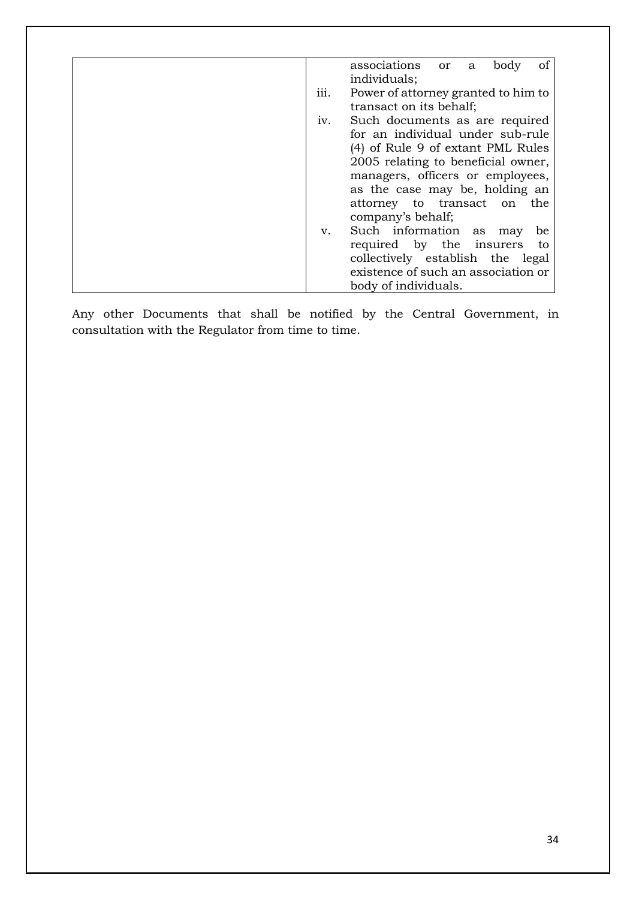|      | associations or<br>οf<br>body<br>a  |
|------|-------------------------------------|
|      | individuals;                        |
| 111. | Power of attorney granted to him to |
|      | transact on its behalf;             |
| 1V.  | Such documents as are required      |
|      | for an individual under sub-rule    |
|      | (4) of Rule 9 of extant PML Rules   |
|      | 2005 relating to beneficial owner,  |
|      | managers, officers or employees,    |
|      | as the case may be, holding an      |
|      | attorney to transact on the         |
|      | company's behalf;                   |
| v.   | Such information as<br>be<br>may    |
|      | required by the insurers<br>to      |
|      | collectively establish the legal    |
|      | existence of such an association or |
|      | body of individuals.                |

Any other Documents that shall be notified by the Central Government, in consultation with the Regulator from time to time.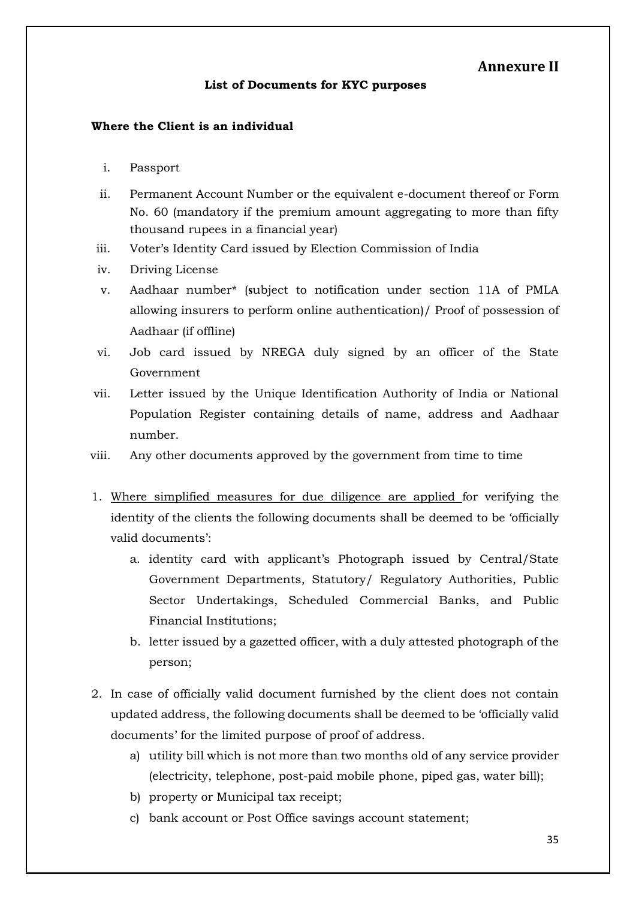#### **Annexure II**

#### **List of Documents for KYC purposes**

#### **Where the Client is an individual**

- i. Passport
- ii. Permanent Account Number or the equivalent e-document thereof or Form No. 60 (mandatory if the premium amount aggregating to more than fifty thousand rupees in a financial year)
- iii. Voter's Identity Card issued by Election Commission of India
- iv. Driving License
- v. Aadhaar number\* (**s**ubject to notification under section 11A of PMLA allowing insurers to perform online authentication)/ Proof of possession of Aadhaar (if offline)
- vi. Job card issued by NREGA duly signed by an officer of the State Government
- vii. Letter issued by the Unique Identification Authority of India or National Population Register containing details of name, address and Aadhaar number.
- viii. Any other documents approved by the government from time to time
- 1. Where simplified measures for due diligence are applied for verifying the identity of the clients the following documents shall be deemed to be 'officially valid documents':
	- a. identity card with applicant's Photograph issued by Central/State Government Departments, Statutory/ Regulatory Authorities, Public Sector Undertakings, Scheduled Commercial Banks, and Public Financial Institutions;
	- b. letter issued by a gazetted officer, with a duly attested photograph of the person;
- 2. In case of officially valid document furnished by the client does not contain updated address, the following documents shall be deemed to be 'officially valid documents' for the limited purpose of proof of address.
	- a) utility bill which is not more than two months old of any service provider (electricity, telephone, post-paid mobile phone, piped gas, water bill);
	- b) property or Municipal tax receipt;
	- c) bank account or Post Office savings account statement;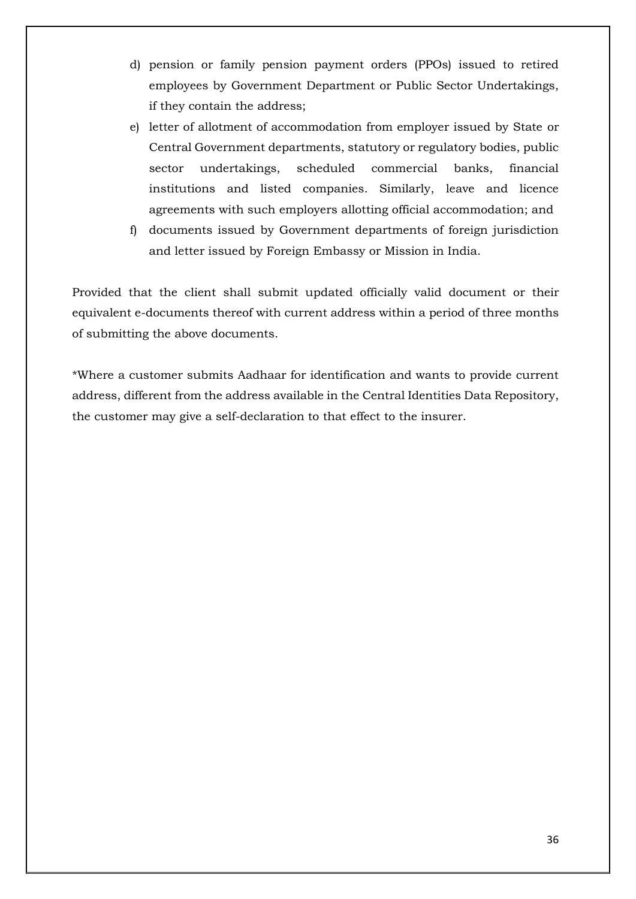- d) pension or family pension payment orders (PPOs) issued to retired employees by Government Department or Public Sector Undertakings, if they contain the address;
- e) letter of allotment of accommodation from employer issued by State or Central Government departments, statutory or regulatory bodies, public sector undertakings, scheduled commercial banks, financial institutions and listed companies. Similarly, leave and licence agreements with such employers allotting official accommodation; and
- f) documents issued by Government departments of foreign jurisdiction and letter issued by Foreign Embassy or Mission in India.

Provided that the client shall submit updated officially valid document or their equivalent e-documents thereof with current address within a period of three months of submitting the above documents.

\*Where a customer submits Aadhaar for identification and wants to provide current address, different from the address available in the Central Identities Data Repository, the customer may give a self-declaration to that effect to the insurer.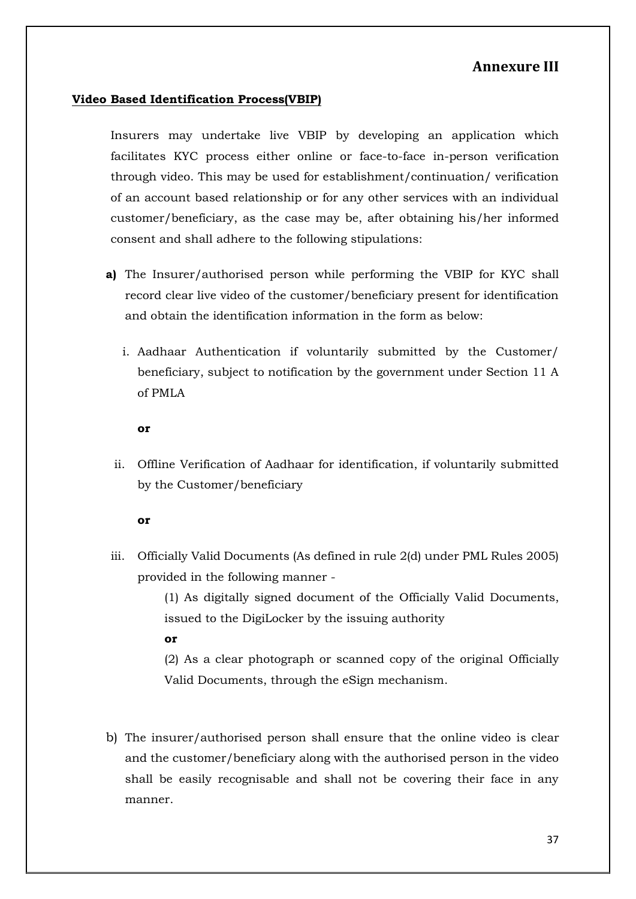#### **Annexure III**

#### **Video Based Identification Process(VBIP)**

Insurers may undertake live VBIP by developing an application which facilitates KYC process either online or face-to-face in-person verification through video. This may be used for establishment/continuation/ verification of an account based relationship or for any other services with an individual customer/beneficiary, as the case may be, after obtaining his/her informed consent and shall adhere to the following stipulations:

- **a)** The Insurer/authorised person while performing the VBIP for KYC shall record clear live video of the customer/beneficiary present for identification and obtain the identification information in the form as below:
	- i. Aadhaar Authentication if voluntarily submitted by the Customer/ beneficiary, subject to notification by the government under Section 11 A of PMLA

**or** 

ii. Offline Verification of Aadhaar for identification, if voluntarily submitted by the Customer/beneficiary

**or**

iii. Officially Valid Documents (As defined in rule 2(d) under PML Rules 2005) provided in the following manner -

> (1) As digitally signed document of the Officially Valid Documents, issued to the DigiLocker by the issuing authority

**or**

(2) As a clear photograph or scanned copy of the original Officially Valid Documents, through the eSign mechanism.

b) The insurer/authorised person shall ensure that the online video is clear and the customer/beneficiary along with the authorised person in the video shall be easily recognisable and shall not be covering their face in any manner.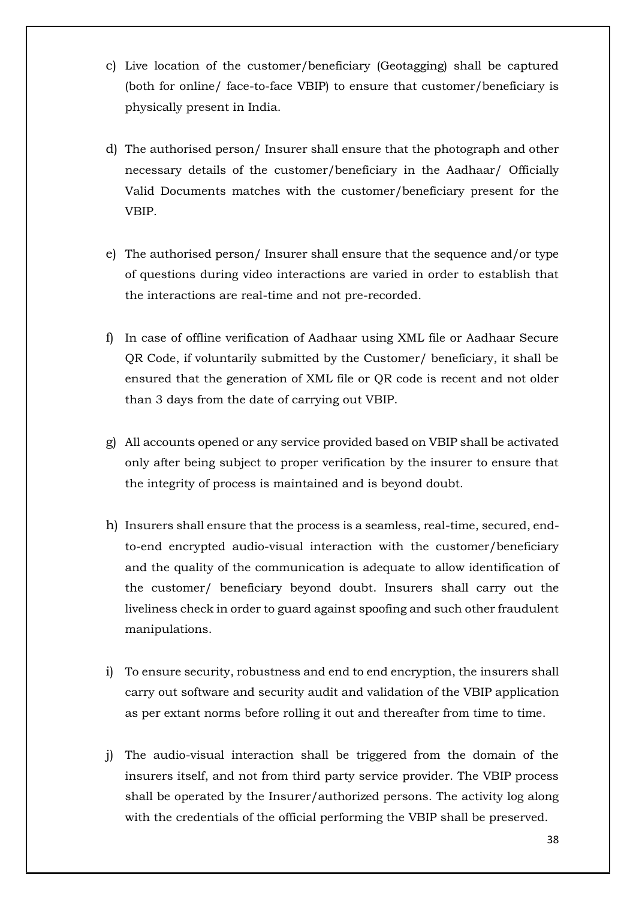- c) Live location of the customer/beneficiary (Geotagging) shall be captured (both for online/ face-to-face VBIP) to ensure that customer/beneficiary is physically present in India.
- d) The authorised person/ Insurer shall ensure that the photograph and other necessary details of the customer/beneficiary in the Aadhaar/ Officially Valid Documents matches with the customer/beneficiary present for the VBIP.
- e) The authorised person/ Insurer shall ensure that the sequence and/or type of questions during video interactions are varied in order to establish that the interactions are real-time and not pre-recorded.
- f) In case of offline verification of Aadhaar using XML file or Aadhaar Secure QR Code, if voluntarily submitted by the Customer/ beneficiary, it shall be ensured that the generation of XML file or QR code is recent and not older than 3 days from the date of carrying out VBIP.
- g) All accounts opened or any service provided based on VBIP shall be activated only after being subject to proper verification by the insurer to ensure that the integrity of process is maintained and is beyond doubt.
- h) Insurers shall ensure that the process is a seamless, real-time, secured, endto-end encrypted audio-visual interaction with the customer/beneficiary and the quality of the communication is adequate to allow identification of the customer/ beneficiary beyond doubt. Insurers shall carry out the liveliness check in order to guard against spoofing and such other fraudulent manipulations.
- i) To ensure security, robustness and end to end encryption, the insurers shall carry out software and security audit and validation of the VBIP application as per extant norms before rolling it out and thereafter from time to time.
- j) The audio-visual interaction shall be triggered from the domain of the insurers itself, and not from third party service provider. The VBIP process shall be operated by the Insurer/authorized persons. The activity log along with the credentials of the official performing the VBIP shall be preserved.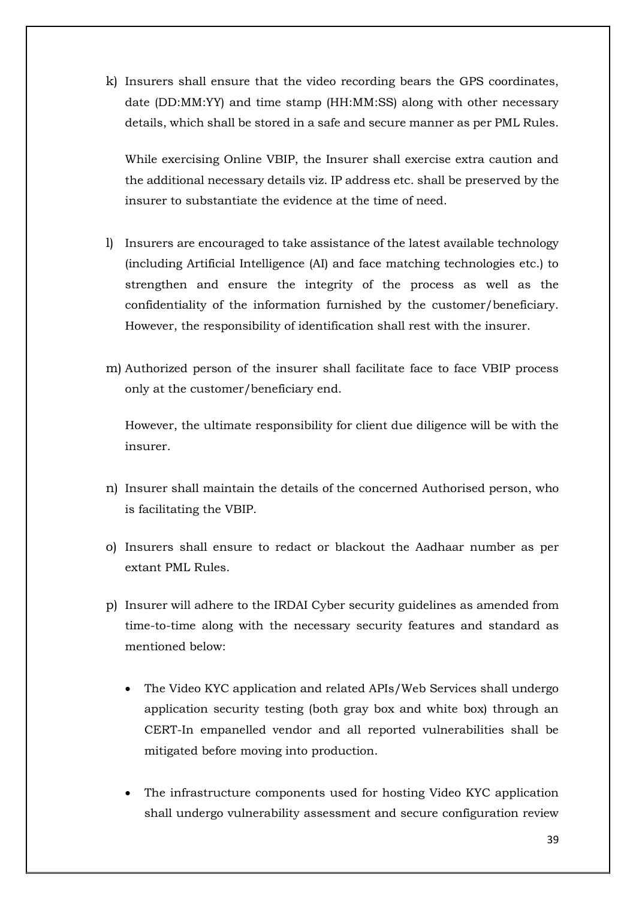k) Insurers shall ensure that the video recording bears the GPS coordinates, date (DD:MM:YY) and time stamp (HH:MM:SS) along with other necessary details, which shall be stored in a safe and secure manner as per PML Rules.

While exercising Online VBIP, the Insurer shall exercise extra caution and the additional necessary details viz. IP address etc. shall be preserved by the insurer to substantiate the evidence at the time of need.

- l) Insurers are encouraged to take assistance of the latest available technology (including Artificial Intelligence (AI) and face matching technologies etc.) to strengthen and ensure the integrity of the process as well as the confidentiality of the information furnished by the customer/beneficiary. However, the responsibility of identification shall rest with the insurer.
- m) Authorized person of the insurer shall facilitate face to face VBIP process only at the customer/beneficiary end.

However, the ultimate responsibility for client due diligence will be with the insurer.

- n) Insurer shall maintain the details of the concerned Authorised person, who is facilitating the VBIP.
- o) Insurers shall ensure to redact or blackout the Aadhaar number as per extant PML Rules.
- p) Insurer will adhere to the IRDAI Cyber security guidelines as amended from time-to-time along with the necessary security features and standard as mentioned below:
	- The Video KYC application and related APIs/Web Services shall undergo application security testing (both gray box and white box) through an CERT-In empanelled vendor and all reported vulnerabilities shall be mitigated before moving into production.
	- The infrastructure components used for hosting Video KYC application shall undergo vulnerability assessment and secure configuration review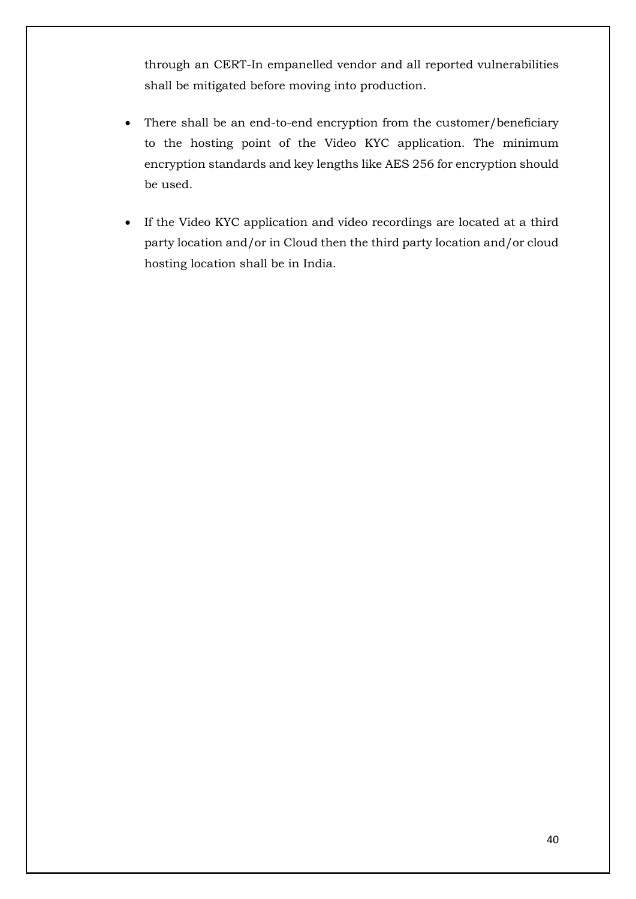through an CERT-In empanelled vendor and all reported vulnerabilities shall be mitigated before moving into production.

- There shall be an end-to-end encryption from the customer/beneficiary to the hosting point of the Video KYC application. The minimum encryption standards and key lengths like AES 256 for encryption should be used.
- If the Video KYC application and video recordings are located at a third party location and/or in Cloud then the third party location and/or cloud hosting location shall be in India.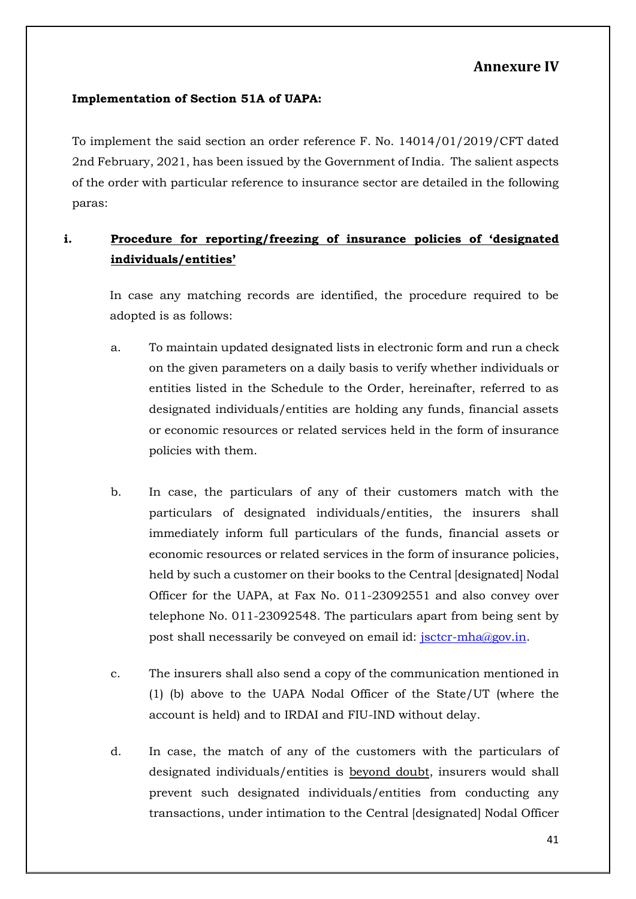#### **Annexure IV**

#### **Implementation of Section 51A of UAPA:**

To implement the said section an order reference F. No. 14014/01/2019/CFT dated 2nd February, 2021, has been issued by the Government of India. The salient aspects of the order with particular reference to insurance sector are detailed in the following paras:

### **i. Procedure for reporting/freezing of insurance policies of 'designated individuals/entities'**

In case any matching records are identified, the procedure required to be adopted is as follows:

- a. To maintain updated designated lists in electronic form and run a check on the given parameters on a daily basis to verify whether individuals or entities listed in the Schedule to the Order, hereinafter, referred to as designated individuals/entities are holding any funds, financial assets or economic resources or related services held in the form of insurance policies with them.
- b. In case, the particulars of any of their customers match with the particulars of designated individuals/entities, the insurers shall immediately inform full particulars of the funds, financial assets or economic resources or related services in the form of insurance policies, held by such a customer on their books to the Central [designated] Nodal Officer for the UAPA, at Fax No. 011-23092551 and also convey over telephone No. 011-23092548. The particulars apart from being sent by post shall necessarily be conveyed on email id: jsctcr-mha@gov.in.
- c. The insurers shall also send a copy of the communication mentioned in (1) (b) above to the UAPA Nodal Officer of the State/UT (where the account is held) and to IRDAI and FIU-IND without delay.
- d. In case, the match of any of the customers with the particulars of designated individuals/entities is beyond doubt, insurers would shall prevent such designated individuals/entities from conducting any transactions, under intimation to the Central [designated] Nodal Officer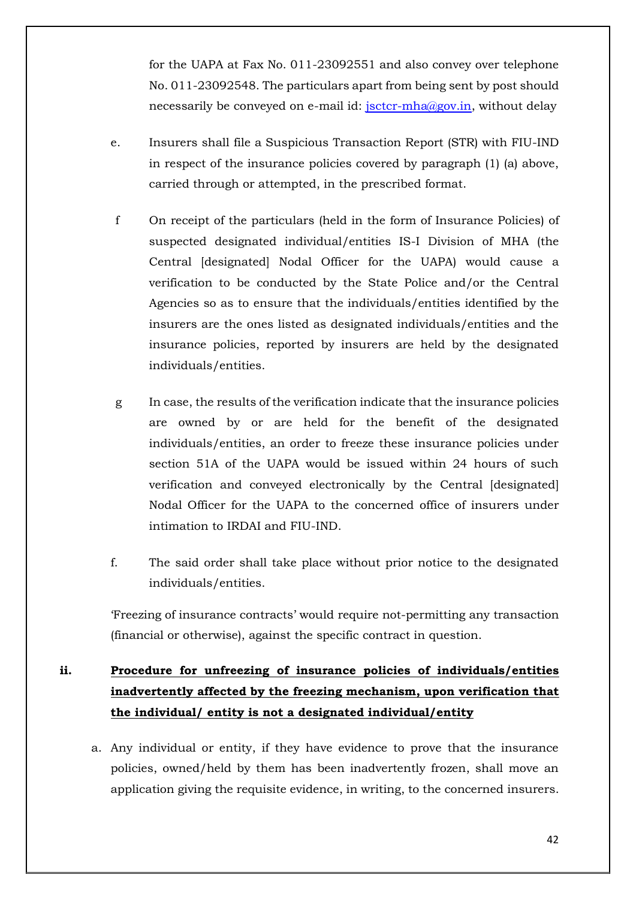for the UAPA at Fax No. 011-23092551 and also convey over telephone No. 011-23092548. The particulars apart from being sent by post should necessarily be conveyed on e-mail id: jsctcr-mha@gov.in, without delay

- e. Insurers shall file a Suspicious Transaction Report (STR) with FIU-IND in respect of the insurance policies covered by paragraph (1) (a) above, carried through or attempted, in the prescribed format.
- f On receipt of the particulars (held in the form of Insurance Policies) of suspected designated individual/entities IS-I Division of MHA (the Central [designated] Nodal Officer for the UAPA) would cause a verification to be conducted by the State Police and/or the Central Agencies so as to ensure that the individuals/entities identified by the insurers are the ones listed as designated individuals/entities and the insurance policies, reported by insurers are held by the designated individuals/entities.
- g In case, the results of the verification indicate that the insurance policies are owned by or are held for the benefit of the designated individuals/entities, an order to freeze these insurance policies under section 51A of the UAPA would be issued within 24 hours of such verification and conveyed electronically by the Central [designated] Nodal Officer for the UAPA to the concerned office of insurers under intimation to IRDAI and FIU-IND.
- f. The said order shall take place without prior notice to the designated individuals/entities.

'Freezing of insurance contracts' would require not-permitting any transaction (financial or otherwise), against the specific contract in question.

## **ii. Procedure for unfreezing of insurance policies of individuals/entities inadvertently affected by the freezing mechanism, upon verification that the individual/ entity is not a designated individual/entity**

a. Any individual or entity, if they have evidence to prove that the insurance policies, owned/held by them has been inadvertently frozen, shall move an application giving the requisite evidence, in writing, to the concerned insurers.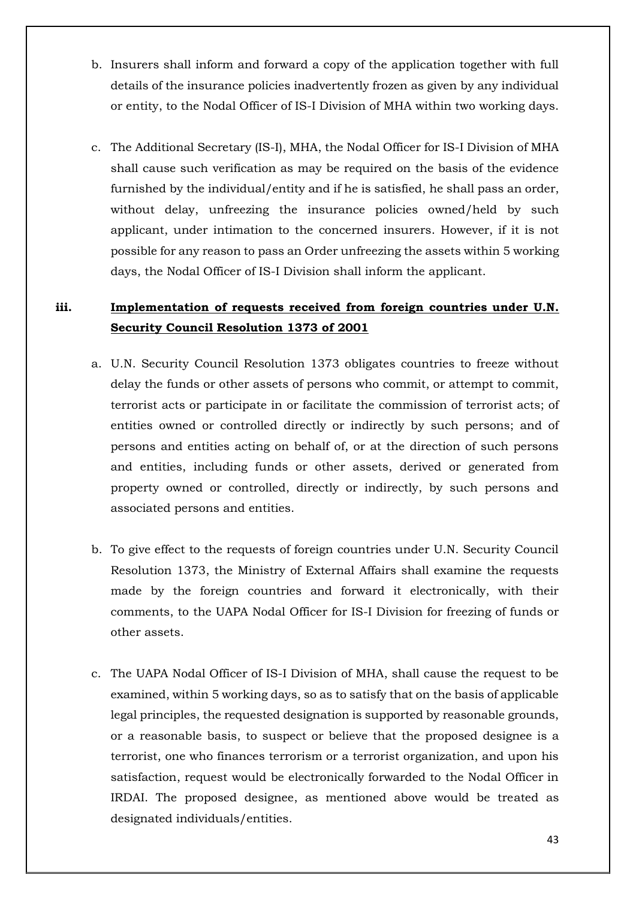- b. Insurers shall inform and forward a copy of the application together with full details of the insurance policies inadvertently frozen as given by any individual or entity, to the Nodal Officer of IS-I Division of MHA within two working days.
- c. The Additional Secretary (IS-I), MHA, the Nodal Officer for IS-I Division of MHA shall cause such verification as may be required on the basis of the evidence furnished by the individual/entity and if he is satisfied, he shall pass an order, without delay, unfreezing the insurance policies owned/held by such applicant, under intimation to the concerned insurers. However, if it is not possible for any reason to pass an Order unfreezing the assets within 5 working days, the Nodal Officer of IS-I Division shall inform the applicant.

#### **iii. Implementation of requests received from foreign countries under U.N. Security Council Resolution 1373 of 2001**

- a. U.N. Security Council Resolution 1373 obligates countries to freeze without delay the funds or other assets of persons who commit, or attempt to commit, terrorist acts or participate in or facilitate the commission of terrorist acts; of entities owned or controlled directly or indirectly by such persons; and of persons and entities acting on behalf of, or at the direction of such persons and entities, including funds or other assets, derived or generated from property owned or controlled, directly or indirectly, by such persons and associated persons and entities.
- b. To give effect to the requests of foreign countries under U.N. Security Council Resolution 1373, the Ministry of External Affairs shall examine the requests made by the foreign countries and forward it electronically, with their comments, to the UAPA Nodal Officer for IS-I Division for freezing of funds or other assets.
- c. The UAPA Nodal Officer of IS-I Division of MHA, shall cause the request to be examined, within 5 working days, so as to satisfy that on the basis of applicable legal principles, the requested designation is supported by reasonable grounds, or a reasonable basis, to suspect or believe that the proposed designee is a terrorist, one who finances terrorism or a terrorist organization, and upon his satisfaction, request would be electronically forwarded to the Nodal Officer in IRDAI. The proposed designee, as mentioned above would be treated as designated individuals/entities.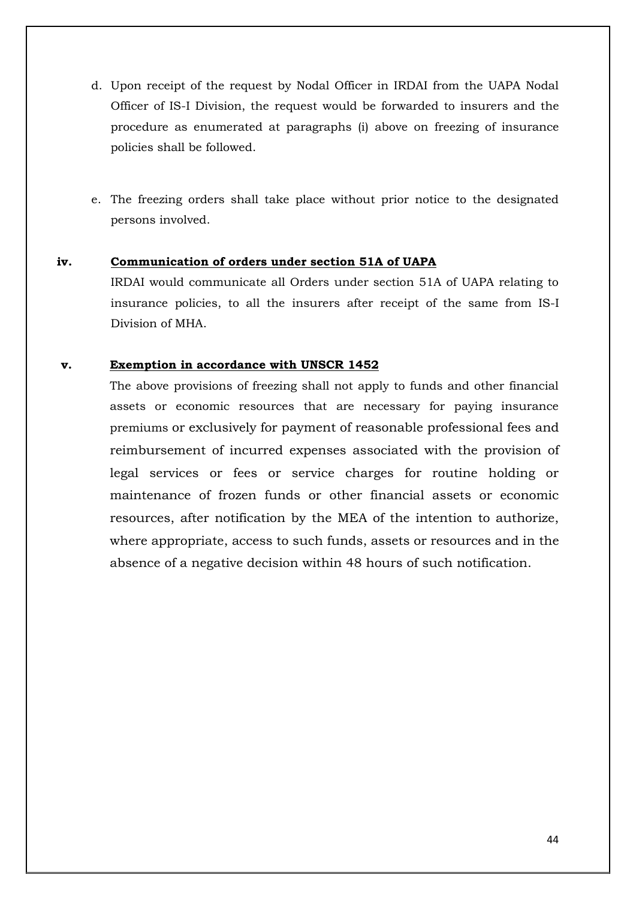- d. Upon receipt of the request by Nodal Officer in IRDAI from the UAPA Nodal Officer of IS-I Division, the request would be forwarded to insurers and the procedure as enumerated at paragraphs (i) above on freezing of insurance policies shall be followed.
- e. The freezing orders shall take place without prior notice to the designated persons involved.

#### **iv. Communication of orders under section 51A of UAPA**

IRDAI would communicate all Orders under section 51A of UAPA relating to insurance policies, to all the insurers after receipt of the same from IS-I Division of MHA.

#### **v. Exemption in accordance with UNSCR 1452**

The above provisions of freezing shall not apply to funds and other financial assets or economic resources that are necessary for paying insurance premiums or exclusively for payment of reasonable professional fees and reimbursement of incurred expenses associated with the provision of legal services or fees or service charges for routine holding or maintenance of frozen funds or other financial assets or economic resources, after notification by the MEA of the intention to authorize, where appropriate, access to such funds, assets or resources and in the absence of a negative decision within 48 hours of such notification.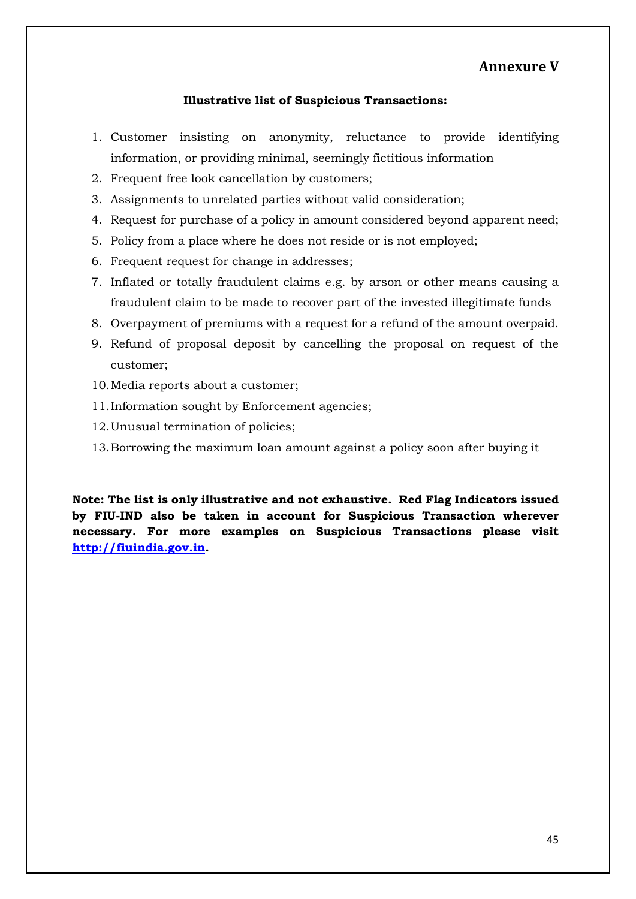#### **Annexure V**

#### **Illustrative list of Suspicious Transactions:**

- 1. Customer insisting on anonymity, reluctance to provide identifying information, or providing minimal, seemingly fictitious information
- 2. Frequent free look cancellation by customers;
- 3. Assignments to unrelated parties without valid consideration;
- 4. Request for purchase of a policy in amount considered beyond apparent need;
- 5. Policy from a place where he does not reside or is not employed;
- 6. Frequent request for change in addresses;
- 7. Inflated or totally fraudulent claims e.g. by arson or other means causing a fraudulent claim to be made to recover part of the invested illegitimate funds
- 8. Overpayment of premiums with a request for a refund of the amount overpaid.
- 9. Refund of proposal deposit by cancelling the proposal on request of the customer;
- 10.Media reports about a customer;
- 11.Information sought by Enforcement agencies;
- 12.Unusual termination of policies;
- 13.Borrowing the maximum loan amount against a policy soon after buying it

**Note: The list is only illustrative and not exhaustive. Red Flag Indicators issued by FIU-IND also be taken in account for Suspicious Transaction wherever necessary. For more examples on Suspicious Transactions please visit http://fiuindia.gov.in.**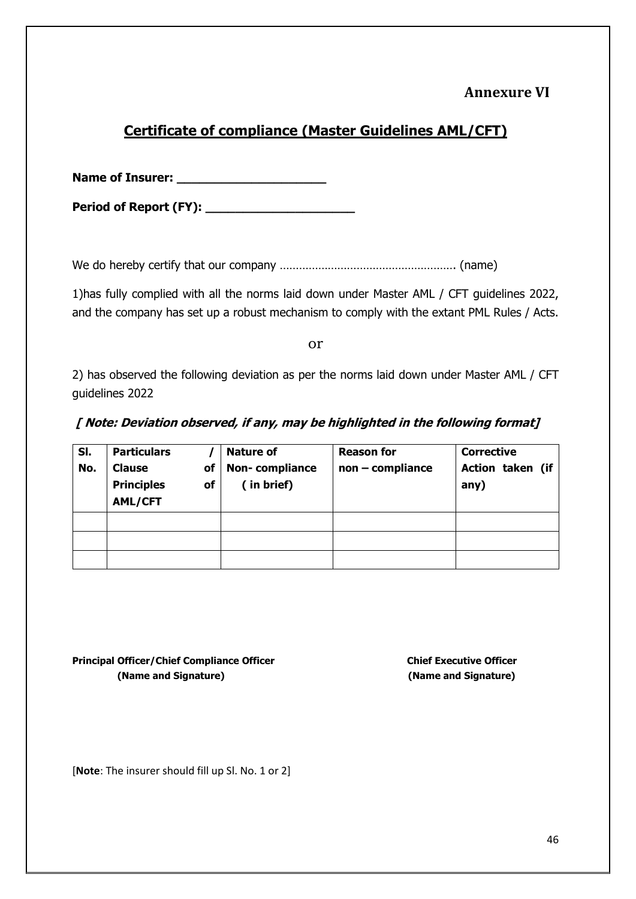## **Annexure VI**

## **Certificate of compliance (Master Guidelines AML/CFT)**

**Name of Insurer: \_\_\_\_\_\_\_\_\_\_\_\_\_\_\_\_\_\_\_\_**

**Period of Report (FY): \_\_\_\_\_\_\_\_\_\_\_\_\_\_\_\_\_\_\_\_**

We do hereby certify that our company ………………………………………………. (name)

1)has fully complied with all the norms laid down under Master AML / CFT guidelines 2022, and the company has set up a robust mechanism to comply with the extant PML Rules / Acts.

or

2) has observed the following deviation as per the norms laid down under Master AML / CFT guidelines 2022

#### **[ Note: Deviation observed, if any, may be highlighted in the following format]**

| SI.<br>No. | <b>Particulars</b><br><b>Clause</b><br>оf<br><b>Principles</b><br>of<br><b>AML/CFT</b> | <b>Nature of</b><br>Non-compliance<br>(in brief) | <b>Reason for</b><br>$non$ - compliance | <b>Corrective</b><br>Action taken (if<br>any) |
|------------|----------------------------------------------------------------------------------------|--------------------------------------------------|-----------------------------------------|-----------------------------------------------|
|            |                                                                                        |                                                  |                                         |                                               |
|            |                                                                                        |                                                  |                                         |                                               |
|            |                                                                                        |                                                  |                                         |                                               |

**Principal Officer/Chief Compliance Officer Chief Executive Officer Chief Executive Officer (Name and Signature) (Name and Signature)**

[**Note**: The insurer should fill up Sl. No. 1 or 2]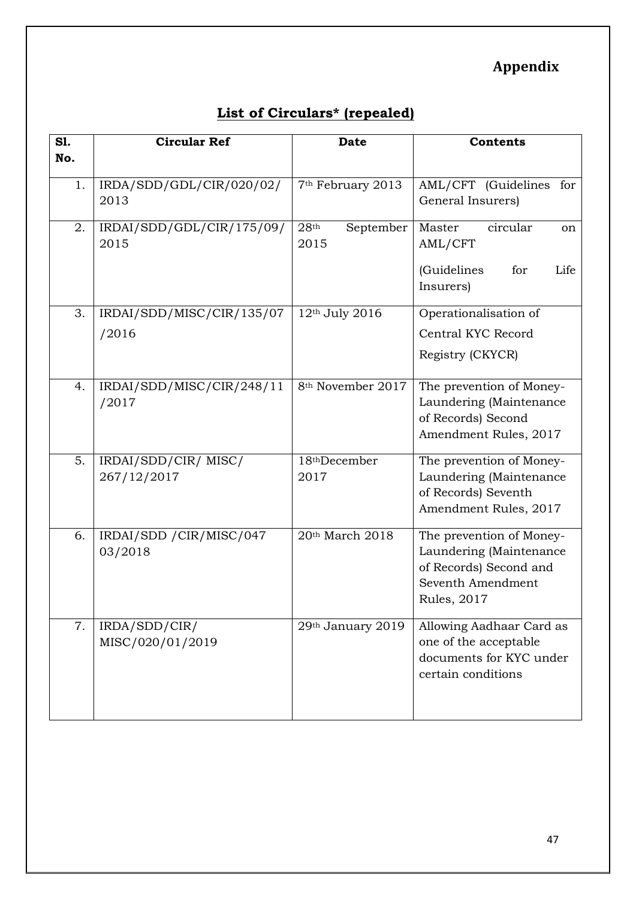# **Appendix**

# **List of Circulars\* (repealed)**

| S1. | <b>Circular Ref</b>                 | <b>Date</b>                           | <b>Contents</b>                                                                                                           |  |
|-----|-------------------------------------|---------------------------------------|---------------------------------------------------------------------------------------------------------------------------|--|
| No. |                                     |                                       |                                                                                                                           |  |
| 1.  | IRDA/SDD/GDL/CIR/020/02/<br>2013    | 7 <sup>th</sup> February 2013         | AML/CFT (Guidelines<br>for<br>General Insurers)                                                                           |  |
| 2.  | IRDAI/SDD/GDL/CIR/175/09/<br>2015   | 28 <sup>th</sup><br>September<br>2015 | circular<br>Master<br><sub>on</sub><br>AML/CFT                                                                            |  |
|     |                                     |                                       | (Guidelines<br>for<br>Life<br>Insurers)                                                                                   |  |
| 3.  | IRDAI/SDD/MISC/CIR/135/07           | 12th July 2016                        | Operationalisation of                                                                                                     |  |
|     | /2016                               |                                       | Central KYC Record                                                                                                        |  |
|     |                                     |                                       | Registry (CKYCR)                                                                                                          |  |
| 4.  | IRDAI/SDD/MISC/CIR/248/11<br>/2017  | 8 <sup>th</sup> November 2017         | The prevention of Money-<br>Laundering (Maintenance<br>of Records) Second<br>Amendment Rules, 2017                        |  |
| 5.  | IRDAI/SDD/CIR/MISC/                 | 18thDecember                          | The prevention of Money-                                                                                                  |  |
|     | 267/12/2017                         | 2017                                  | Laundering (Maintenance<br>of Records) Seventh<br>Amendment Rules, 2017                                                   |  |
| 6.  | IRDAI/SDD / CIR/MISC/047<br>03/2018 | 20th March 2018                       | The prevention of Money-<br>Laundering (Maintenance<br>of Records) Second and<br>Seventh Amendment<br><b>Rules</b> , 2017 |  |
| 7.  | IRDA/SDD/CIR/<br>MISC/020/01/2019   | 29th January 2019                     | Allowing Aadhaar Card as<br>one of the acceptable<br>documents for KYC under<br>certain conditions                        |  |